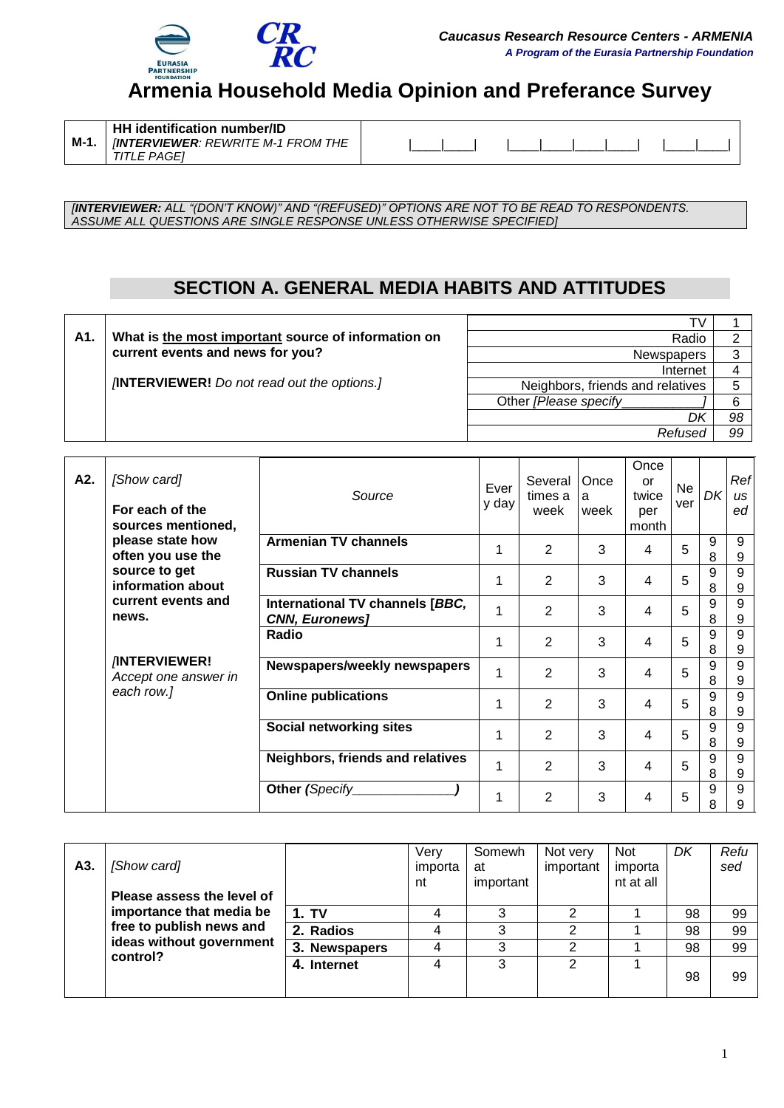

# **Armenia Household Media Opinion and Preferance Survey**

*[INTERVIEWER: ALL "(DON"T KNOW)" AND "(REFUSED)" OPTIONS ARE NOT TO BE READ TO RESPONDENTS. ASSUME ALL QUESTIONS ARE SINGLE RESPONSE UNLESS OTHERWISE SPECIFIED]*

## **SECTION A. GENERAL MEDIA HABITS AND ATTITUDES**

| Neighbors, friends and relatives                  |
|---------------------------------------------------|
|                                                   |
| 98                                                |
| 99                                                |
| Radio<br><b>Newspapers</b><br>Internet<br>Refused |

| A2. | [Show card]<br>For each of the<br>sources mentioned, | Source                                                   | Ever<br>y day | Several   Once<br>times a<br>week | a<br>week | Once<br>or<br>twice<br>per<br>month | <b>Ne</b><br>ver | DK     | Ref<br>us<br>ed |
|-----|------------------------------------------------------|----------------------------------------------------------|---------------|-----------------------------------|-----------|-------------------------------------|------------------|--------|-----------------|
|     | please state how<br>often you use the                | <b>Armenian TV channels</b>                              |               | $\overline{2}$                    | 3         | 4                                   | 5                | 9<br>8 | 9<br>9          |
|     | source to get<br>information about                   | <b>Russian TV channels</b>                               |               | $\overline{2}$                    | 3         | 4                                   | 5                | 9<br>8 | 9<br>9          |
|     | current events and<br>news.                          | International TV channels [BBC,<br><b>CNN, Euronews]</b> |               | $\overline{2}$                    | 3         | 4                                   | 5                | 9<br>8 | 9<br>9          |
|     |                                                      | Radio                                                    |               | $\overline{2}$                    | 3         | 4                                   | 5                | 9<br>8 | 9<br>9          |
|     | <b>INTERVIEWER!</b><br>Accept one answer in          | Newspapers/weekly newspapers                             |               | $\overline{2}$                    | 3         | 4                                   | 5                | 9<br>8 | 9<br>9          |
|     | each row.]                                           | <b>Online publications</b>                               |               | $\overline{2}$                    | 3         | 4                                   | 5                | 9<br>8 | 9<br>9          |
|     |                                                      | Social networking sites                                  | 1             | $\overline{2}$                    | 3         | 4                                   | 5                | 9<br>8 | 9<br>9          |
|     |                                                      | Neighbors, friends and relatives                         |               | 2                                 | 3         | 4                                   | 5                | 9<br>8 | 9<br>9          |
|     |                                                      | Other (Specify                                           |               | 2                                 | 3         | 4                                   | 5                | 9<br>8 | 9<br>9          |

| A3. | [Show card]<br>Please assess the level of<br>free to publish news and<br>ideas without government<br>control? |               | Verv<br>importa<br>nt | Somewh<br>at<br>important | Not very<br>important | <b>Not</b><br>importa<br>nt at all | DK | Refu<br>sed |
|-----|---------------------------------------------------------------------------------------------------------------|---------------|-----------------------|---------------------------|-----------------------|------------------------------------|----|-------------|
|     | importance that media be                                                                                      | 1. TV         |                       |                           |                       |                                    | 98 | 99          |
|     |                                                                                                               | 2. Radios     |                       |                           |                       |                                    | 98 | 99          |
|     |                                                                                                               | 3. Newspapers |                       |                           |                       |                                    | 98 | 99          |
|     |                                                                                                               | 4. Internet   |                       | ◠                         | ົ                     |                                    | 98 | 99          |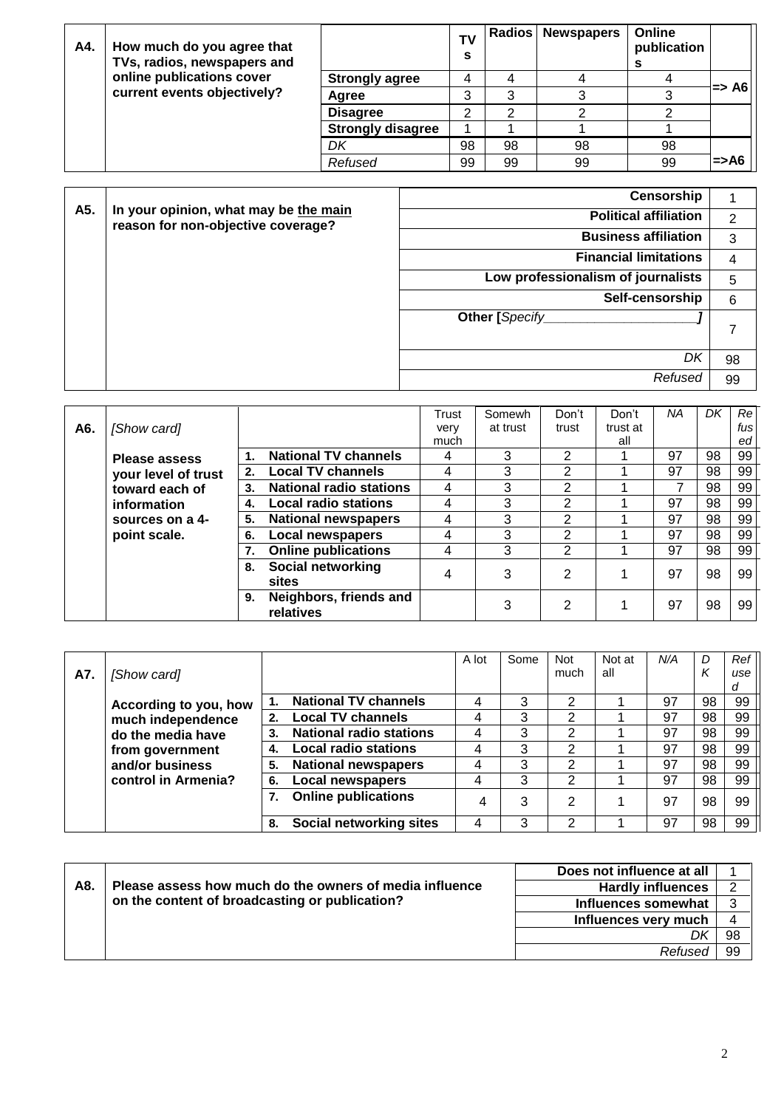| A4. | How much do you agree that<br>TVs, radios, newspapers and |                          | T٧<br>s |    | <b>Radios   Newspapers</b> | Online<br>publication |                  |
|-----|-----------------------------------------------------------|--------------------------|---------|----|----------------------------|-----------------------|------------------|
|     | online publications cover                                 | <b>Strongly agree</b>    | 4       |    |                            |                       |                  |
|     | current events objectively?                               | Agree                    | 3       | 3  |                            |                       | l=> A6l          |
|     |                                                           | <b>Disagree</b>          | ົ       | ົ  |                            |                       |                  |
|     |                                                           | <b>Strongly disagree</b> |         |    |                            |                       |                  |
|     |                                                           | DK                       | 98      | 98 | 98                         | 98                    |                  |
|     |                                                           | Refused                  | 99      | 99 | 99                         | 99                    | $\Rightarrow$ A6 |

|     | In your opinion, what may be the main | Censorship                         |    |
|-----|---------------------------------------|------------------------------------|----|
| A5. | reason for non-objective coverage?    | <b>Political affiliation</b>       | 2  |
|     |                                       | <b>Business affiliation</b>        | 3  |
|     |                                       | <b>Financial limitations</b>       | 4  |
|     |                                       | Low professionalism of journalists | 5  |
|     |                                       | Self-censorship                    | 6  |
|     |                                       | Other [Specify                     | 7  |
|     |                                       | DK                                 | 98 |
|     |                                       | Refused                            | 99 |

|     |                      |    |                                     | Trust | Somewh   | Don't | Don't    | ΝA | DΚ | Re <sub>l</sub> |
|-----|----------------------|----|-------------------------------------|-------|----------|-------|----------|----|----|-----------------|
| A6. | [Show card]          |    |                                     | very  | at trust | trust | trust at |    |    | fusl            |
|     |                      |    |                                     | much  |          |       | all      |    |    | ed              |
|     | <b>Please assess</b> |    | <b>National TV channels</b>         | 4     | 3        | 2     |          | 97 | 98 | 99              |
|     | your level of trust  | 2. | <b>Local TV channels</b>            | 4     | 3        | 2     |          | 97 | 98 | 99              |
|     | toward each of       | 3. | <b>National radio stations</b>      | 4     | 3        | 2     |          | 7  | 98 | 99              |
|     | information          | 4. | <b>Local radio stations</b>         | 4     | 3        | 2     |          | 97 | 98 | 99              |
|     | sources on a 4-      | 5. | <b>National newspapers</b>          | 4     | 3        | 2     |          | 97 | 98 | 99              |
|     | point scale.         | 6. | Local newspapers                    | 4     | 3        | 2     |          | 97 | 98 | 99              |
|     |                      |    | <b>Online publications</b>          | 4     | 3        | 2     |          | 97 | 98 | 99              |
|     |                      |    | 8. Social networking<br>sites       | 4     | 3        | 2     |          | 97 | 98 | 99              |
|     |                      | 9. | Neighbors, friends and<br>relatives |       | 3        | 2     |          | 97 | 98 | 99              |

|     |                       |    |                                | A lot | Some | Not            | Not at | N/A | D  | Ref |
|-----|-----------------------|----|--------------------------------|-------|------|----------------|--------|-----|----|-----|
| A7. | [Show card]           |    |                                |       |      | much           | all    |     |    | use |
|     |                       |    |                                |       |      |                |        |     |    | d   |
|     | According to you, how |    | <b>National TV channels</b>    | 4     | 3    | 2              |        | 97  | 98 | 99  |
|     | much independence     | 2. | <b>Local TV channels</b>       | 4     | 3    | 2              |        | 97  | 98 | 99  |
|     | do the media have     | 3. | <b>National radio stations</b> | 4     | 3    | 2              |        | 97  | 98 | 99  |
|     | from government       |    | <b>Local radio stations</b>    | 4     | 3    | 2              |        | 97  | 98 | 99  |
|     | and/or business       | 5. | <b>National newspapers</b>     | 4     | 3    | 2              |        | 97  | 98 | 99  |
|     | control in Armenia?   | 6. | <b>Local newspapers</b>        | 4     | 3    | 2              |        | 97  | 98 | 99  |
|     |                       |    | <b>Online publications</b>     | 4     | 3    | $\overline{2}$ |        | 97  | 98 | 99  |
|     |                       | 8. | Social networking sites        | 4     | 3    | 2              |        | 97  | 98 | 99  |

|     |                                                         | Does not influence at all |    |
|-----|---------------------------------------------------------|---------------------------|----|
| A8. | Please assess how much do the owners of media influence | <b>Hardly influences</b>  |    |
|     | on the content of broadcasting or publication?          | Influences somewhat       |    |
|     |                                                         | Influences very much      |    |
|     |                                                         |                           | 98 |
|     |                                                         | Refused                   | 99 |
|     |                                                         |                           |    |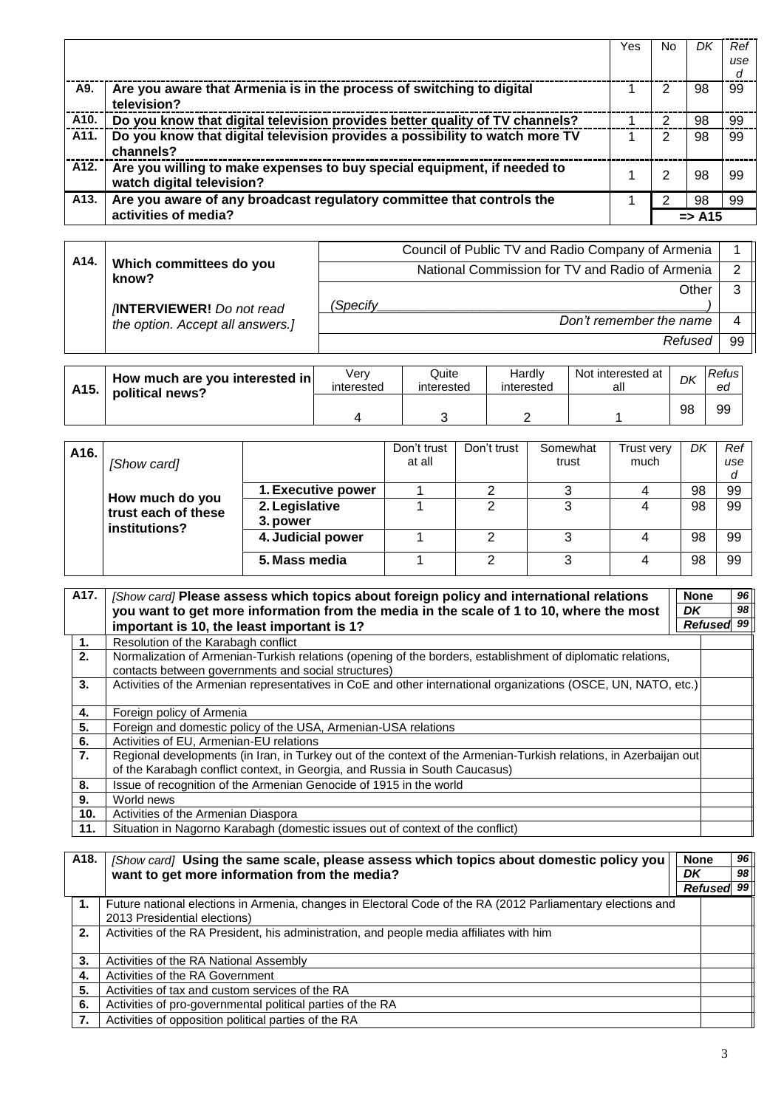|                   |                                                                                                      | Yes | No. |                   | Ref |
|-------------------|------------------------------------------------------------------------------------------------------|-----|-----|-------------------|-----|
|                   |                                                                                                      |     |     |                   | use |
|                   |                                                                                                      |     |     |                   | d   |
| A9.               | Are you aware that Armenia is in the process of switching to digital<br>television?                  |     |     | 98                | 99  |
| A <sub>10</sub> . | Do you know that digital television provides better quality of TV channels?                          |     |     | 98                | 99  |
| A <sub>11</sub> . | Do you know that digital television provides a possibility to watch more TV<br>channels?             |     |     | 98                | 99  |
| A <sub>12</sub> . | Are you willing to make expenses to buy special equipment, if needed to<br>watch digital television? |     |     | 98                | 99  |
| A <sub>13</sub> . | Are you aware of any broadcast regulatory committee that controls the                                |     |     | 98                | 99  |
|                   | activities of media?                                                                                 |     |     | $\Rightarrow$ A15 |     |

| A <sub>14</sub> . |                                  |          | Council of Public TV and Radio Company of Armenia |    |
|-------------------|----------------------------------|----------|---------------------------------------------------|----|
|                   | Which committees do you<br>know? |          | National Commission for TV and Radio of Armenia   |    |
|                   |                                  |          | Other                                             |    |
|                   | <b>INTERVIEWER!</b> Do not read  | (Specifv |                                                   |    |
|                   | the option. Accept all answers.] |          | Don't remember the name                           |    |
|                   |                                  |          | Refused                                           | 99 |

| A <sub>15</sub> . | How much are you interested in<br>political news? | Verv<br>interested | Quite<br>interested | Hardly<br>interested | Not interested at<br>all | DK | Refus<br>ea |
|-------------------|---------------------------------------------------|--------------------|---------------------|----------------------|--------------------------|----|-------------|
|                   |                                                   |                    |                     |                      |                          | 98 | 99          |

| A16. | [Show card]                                             |                    | Don't trust<br>at all | Don't trust | Somewhat<br>trust | Trust verv<br>much | Dŀ | Ref<br>use<br>d |
|------|---------------------------------------------------------|--------------------|-----------------------|-------------|-------------------|--------------------|----|-----------------|
|      | How much do you<br>trust each of these<br>institutions? | 1. Executive power |                       |             |                   |                    | 98 | 99              |
|      |                                                         | 2. Legislative     |                       |             | 3                 |                    | 98 | 99              |
|      |                                                         | 3. power           |                       |             |                   |                    |    |                 |
|      |                                                         | 4. Judicial power  |                       |             | 3                 |                    | 98 | 99              |
|      |                                                         | 5. Mass media      |                       | ົ           | 3                 |                    | 98 | 99              |

| A17. | [Show card] Please assess which topics about foreign policy and international relations                                                                                                          | <b>None</b> | 96 |  |
|------|--------------------------------------------------------------------------------------------------------------------------------------------------------------------------------------------------|-------------|----|--|
|      | you want to get more information from the media in the scale of 1 to 10, where the most                                                                                                          | DK          | 98 |  |
|      | important is 10, the least important is 1?                                                                                                                                                       |             |    |  |
| 1.   | Resolution of the Karabagh conflict                                                                                                                                                              |             |    |  |
| 2.   | Normalization of Armenian-Turkish relations (opening of the borders, establishment of diplomatic relations,<br>contacts between governments and social structures)                               |             |    |  |
| 3.   | Activities of the Armenian representatives in CoE and other international organizations (OSCE, UN, NATO, etc.)                                                                                   |             |    |  |
| 4.   | Foreign policy of Armenia                                                                                                                                                                        |             |    |  |
| 5.   | Foreign and domestic policy of the USA, Armenian-USA relations                                                                                                                                   |             |    |  |
| 6.   | Activities of EU, Armenian-EU relations                                                                                                                                                          |             |    |  |
| 7.   | Regional developments (in Iran, in Turkey out of the context of the Armenian-Turkish relations, in Azerbaijan out<br>of the Karabagh conflict context, in Georgia, and Russia in South Caucasus) |             |    |  |
| 8.   | Issue of recognition of the Armenian Genocide of 1915 in the world                                                                                                                               |             |    |  |
| 9.   | World news                                                                                                                                                                                       |             |    |  |
| 10.  | Activities of the Armenian Diaspora                                                                                                                                                              |             |    |  |
| 11.  | Situation in Nagorno Karabagh (domestic issues out of context of the conflict)                                                                                                                   |             |    |  |

| A18. | [Show card] Using the same scale, please assess which topics about domestic policy you<br>want to get more information from the media? |  | <b>None</b> | 96 |
|------|----------------------------------------------------------------------------------------------------------------------------------------|--|-------------|----|
|      |                                                                                                                                        |  |             | 98 |
|      |                                                                                                                                        |  | Refused     | 99 |
| 1.   | Future national elections in Armenia, changes in Electoral Code of the RA (2012 Parliamentary elections and                            |  |             |    |
|      | 2013 Presidential elections)                                                                                                           |  |             |    |
| 2.   | Activities of the RA President, his administration, and people media affiliates with him                                               |  |             |    |
| 3.   | Activities of the RA National Assembly                                                                                                 |  |             |    |
| 4.   | Activities of the RA Government                                                                                                        |  |             |    |
| 5.   | Activities of tax and custom services of the RA                                                                                        |  |             |    |
| 6.   | Activities of pro-governmental political parties of the RA                                                                             |  |             |    |
|      | Activities of opposition political parties of the RA                                                                                   |  |             |    |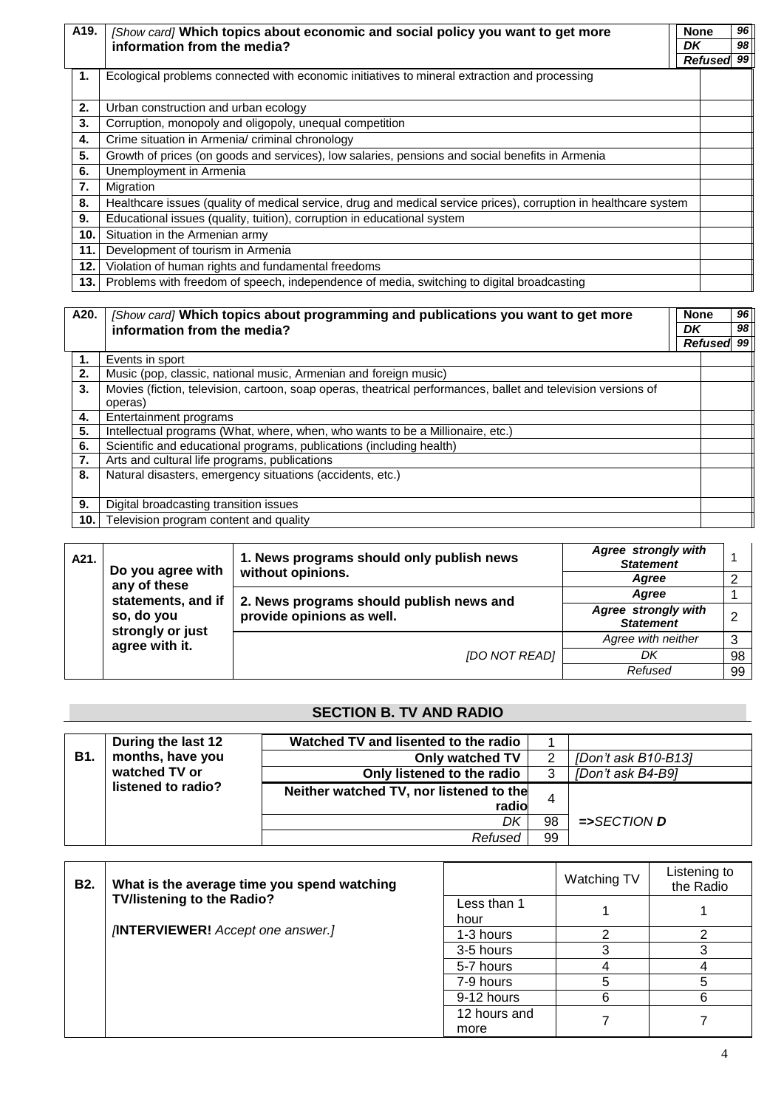| A19. | [Show card] Which topics about economic and social policy you want to get more                                   | <b>None</b> | 96 |
|------|------------------------------------------------------------------------------------------------------------------|-------------|----|
|      | information from the media?                                                                                      | DK          | 98 |
|      |                                                                                                                  | Refused 99  |    |
| 1.   | Ecological problems connected with economic initiatives to mineral extraction and processing                     |             |    |
|      |                                                                                                                  |             |    |
| 2.   | Urban construction and urban ecology                                                                             |             |    |
| 3.   | Corruption, monopoly and oligopoly, unequal competition                                                          |             |    |
| 4.   | Crime situation in Armenia/ criminal chronology                                                                  |             |    |
| 5.   | Growth of prices (on goods and services), low salaries, pensions and social benefits in Armenia                  |             |    |
| 6.   | Unemployment in Armenia                                                                                          |             |    |
| 7.   | Migration                                                                                                        |             |    |
| 8.   | Healthcare issues (quality of medical service, drug and medical service prices), corruption in healthcare system |             |    |
| 9.   | Educational issues (quality, tuition), corruption in educational system                                          |             |    |
| 10.  | Situation in the Armenian army                                                                                   |             |    |
| 11.  | Development of tourism in Armenia                                                                                |             |    |
| 12.  | Violation of human rights and fundamental freedoms                                                               |             |    |
| 13.  | Problems with freedom of speech, independence of media, switching to digital broadcasting                        |             |    |

| A20. | [Show card] Which topics about programming and publications you want to get more                              |    | <b>None</b> |                 |
|------|---------------------------------------------------------------------------------------------------------------|----|-------------|-----------------|
|      | information from the media?                                                                                   | DK |             | 98 <sub>1</sub> |
|      |                                                                                                               |    | Refused     | 99              |
| 1.   | Events in sport                                                                                               |    |             |                 |
| 2.   | Music (pop, classic, national music, Armenian and foreign music)                                              |    |             |                 |
| 3.   | Movies (fiction, television, cartoon, soap operas, theatrical performances, ballet and television versions of |    |             |                 |
|      | operas)                                                                                                       |    |             |                 |
| 4.   | Entertainment programs                                                                                        |    |             |                 |
| 5.   | Intellectual programs (What, where, when, who wants to be a Millionaire, etc.)                                |    |             |                 |
| 6.   | Scientific and educational programs, publications (including health)                                          |    |             |                 |
| 7.   | Arts and cultural life programs, publications                                                                 |    |             |                 |
| 8.   | Natural disasters, emergency situations (accidents, etc.)                                                     |    |             |                 |
|      |                                                                                                               |    |             |                 |
| 9.   | Digital broadcasting transition issues                                                                        |    |             |                 |
| 10.  | Television program content and quality                                                                        |    |             |                 |

| A21. | Do you agree with                                              | Agree strongly with<br>1. News programs should only publish news<br><b>Statement</b> |                                         |    |  |
|------|----------------------------------------------------------------|--------------------------------------------------------------------------------------|-----------------------------------------|----|--|
|      | any of these                                                   | without opinions.                                                                    | Aaree                                   |    |  |
|      | statements, and if<br>2. News programs should publish news and |                                                                                      | Aaree                                   |    |  |
|      | so, do you<br>strongly or just<br>agree with it.               | provide opinions as well.                                                            | Agree strongly with<br><b>Statement</b> |    |  |
|      |                                                                |                                                                                      | Agree with neither                      |    |  |
|      |                                                                | <b>IDO NOT READI</b>                                                                 | DK                                      | 98 |  |
|      |                                                                |                                                                                      | Refused                                 | 99 |  |

### **SECTION B. TV AND RADIO**

|               | During the last 12 | Watched TV and lisented to the radio    |     |                                |
|---------------|--------------------|-----------------------------------------|-----|--------------------------------|
| <b>B1.</b>    | months, have you   | Only watched TV                         |     | [Don't ask B10-B13]            |
| watched TV or |                    | Only listened to the radio              |     | [Don't ask B4-B9]              |
|               | listened to radio? | Neither watched TV, nor listened to the |     |                                |
|               |                    | radio                                   |     |                                |
|               |                    | DK                                      | 98  | $\Rightarrow$ SECTION <b>D</b> |
|               |                    | Refused                                 | -99 |                                |

| B2. | What is the average time you spend watching |              | Watching TV | Listening to<br>the Radio |  |
|-----|---------------------------------------------|--------------|-------------|---------------------------|--|
|     | <b>TV/listening to the Radio?</b>           | Less than 1  |             |                           |  |
|     |                                             | hour         |             |                           |  |
|     | <b>INTERVIEWER!</b> Accept one answer.]     | 1-3 hours    |             |                           |  |
|     |                                             | 3-5 hours    |             |                           |  |
|     |                                             | 5-7 hours    |             |                           |  |
|     |                                             | 7-9 hours    |             | 5                         |  |
|     |                                             | 9-12 hours   |             |                           |  |
|     |                                             | 12 hours and |             |                           |  |
|     |                                             | more         |             |                           |  |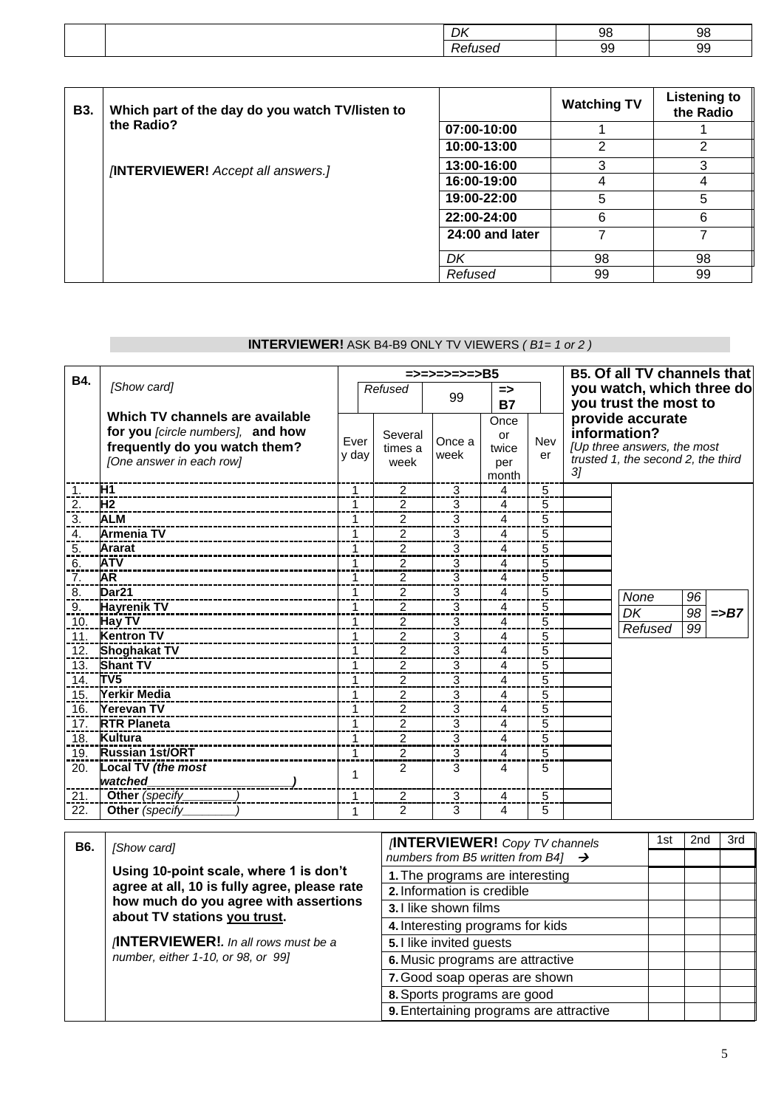| שנ | м<br>$\cdot$ |  |
|----|--------------|--|
|    | n            |  |

| <b>B3.</b> | Which part of the day do you watch TV/listen to |                 | <b>Watching TV</b> | <b>Listening to</b><br>the Radio |
|------------|-------------------------------------------------|-----------------|--------------------|----------------------------------|
|            | the Radio?                                      | 07:00-10:00     |                    |                                  |
|            |                                                 | 10:00-13:00     | 2                  | 2                                |
|            | <b>INTERVIEWER!</b> Accept all answers.]        | 13:00-16:00     | 3                  | 3                                |
|            |                                                 | 16:00-19:00     |                    | 4                                |
|            |                                                 | 19:00-22:00     | 5                  | 5                                |
|            |                                                 | 22:00-24:00     | 6                  | 6                                |
|            |                                                 | 24:00 and later |                    |                                  |
|            |                                                 | DK              | 98                 | 98                               |
|            |                                                 | Refused         | 99                 | 99                               |

## **INTERVIEWER!** ASK B4-B9 ONLY TV VIEWERS *( B1= 1 or 2 )*

| B4.               |                                   |              | =>=>=>=>=>=>B5 |                |               |     | <b>B5. Of all TV channels that</b> |                                           |  |  |
|-------------------|-----------------------------------|--------------|----------------|----------------|---------------|-----|------------------------------------|-------------------------------------------|--|--|
|                   | [Show card]                       |              | Refused        | 99             | $\Rightarrow$ |     |                                    | you watch, which three do                 |  |  |
|                   |                                   |              |                |                | <b>B7</b>     |     |                                    | you trust the most to                     |  |  |
|                   | Which TV channels are available   |              |                |                | Once          |     |                                    | provide accurate                          |  |  |
|                   | for you [circle numbers], and how | Ever         | Several        | Once a         | or            | Nev |                                    | information?                              |  |  |
|                   | frequently do you watch them?     | y day        | times a        | week           | twice         | er  |                                    | [Up three answers, the most               |  |  |
|                   | [One answer in each row]          |              | week           |                | per           |     | 3 <sub>l</sub>                     | trusted 1, the second 2, the third        |  |  |
|                   |                                   |              |                |                | month         |     |                                    |                                           |  |  |
| 1.                | H1                                | 1            | $\overline{2}$ | 3              | 4             | 5   |                                    |                                           |  |  |
| 2.                | H <sub>2</sub>                    | 1            | 2              | 3              | 4             | 5   |                                    |                                           |  |  |
| $\overline{3}$ .  | <b>ALM</b>                        | 1            | $\overline{2}$ | 3              | 4             | 5   |                                    |                                           |  |  |
| 4.                | <b>Armenia TV</b>                 | 1            | $\overline{2}$ | 3              | 4             | 5   |                                    |                                           |  |  |
| 5.                | <b>Ararat</b>                     | 1            | $\overline{c}$ | 3              | 4             | 5   |                                    |                                           |  |  |
| 6.                | <b>ATV</b>                        | 1            | 2              | 3              | 4             | 5   |                                    |                                           |  |  |
| 7.                | AR                                | 1            | $\overline{2}$ | 3              | 4             | 5   |                                    |                                           |  |  |
| 8.                | Dar <sub>21</sub>                 | 1            | $\overline{2}$ | 3              | 4             | 5   |                                    | None<br>96                                |  |  |
| 9.                | <b>Hayrenik TV</b>                | 1            | 2              | 3              | 4             | 5   |                                    | $\overline{98}$<br>DK<br>$\Rightarrow$ B7 |  |  |
| 10.               | <b>Hay TV</b>                     | 1            | $\overline{c}$ | 3              | 4             | 5   |                                    | 99<br>Refused                             |  |  |
| 11.               | <b>Kentron TV</b>                 | 1            | $\overline{2}$ | 3              | 4             | 5   |                                    |                                           |  |  |
| 12.               | <b>Shoghakat TV</b>               | 1            | 2              | 3              | 4             | 5   |                                    |                                           |  |  |
| 13.               | <b>Shant TV</b>                   | 1            | 2              | 3              | 4             | 5   |                                    |                                           |  |  |
| 14.               | TV <sub>5</sub>                   | 1            | $\overline{c}$ | 3              | 4             | 5   |                                    |                                           |  |  |
| 15.               | Yerkir Media                      | 1            | 2              | 3              | 4             | 5   |                                    |                                           |  |  |
| 16.               | <b>Yerevan TV</b>                 | $\mathbf{1}$ | $\overline{2}$ | 3              | 4             | 5   |                                    |                                           |  |  |
| 17.               | <b>RTR Planeta</b>                | 1            | 2              | 3              | 4             | 5   |                                    |                                           |  |  |
| $\overline{18}$ . | Kultura                           | 1            | $\overline{2}$ | $\overline{3}$ | 4             | 5   |                                    |                                           |  |  |
| 19.               | <b>Russian 1st/ORT</b>            | 1            | $\overline{2}$ | 3              | 4             | 5   |                                    |                                           |  |  |
| 20.               | Local TV (the most                | 1            | $\overline{2}$ | 3              | 4             | 5   |                                    |                                           |  |  |
|                   | watched                           |              |                |                |               |     |                                    |                                           |  |  |
| 21.               | Other (specify                    | 1            | 2              | 3              | 4             | 5   |                                    |                                           |  |  |
| 22.               | Other (specify                    | 1            | $\overline{2}$ | 3              | 4             | 5   |                                    |                                           |  |  |

| B6. | [Show card]                                                                                                                                                         | <b>INTERVIEWER!</b> Copy TV channels           |  | 2nd | 3rd |
|-----|---------------------------------------------------------------------------------------------------------------------------------------------------------------------|------------------------------------------------|--|-----|-----|
|     |                                                                                                                                                                     | numbers from B5 written from B4] $\rightarrow$ |  |     |     |
|     | Using 10-point scale, where 1 is don't                                                                                                                              | 1. The programs are interesting                |  |     |     |
|     | agree at all, 10 is fully agree, please rate<br>how much do you agree with assertions<br>about TV stations you trust.<br><b>INTERVIEWER!.</b> In all rows must be a | 2. Information is credible                     |  |     |     |
|     |                                                                                                                                                                     | 3.1 like shown films                           |  |     |     |
|     |                                                                                                                                                                     | 4. Interesting programs for kids               |  |     |     |
|     |                                                                                                                                                                     | 5. I like invited guests                       |  |     |     |
|     | number, either 1-10, or 98, or 99]                                                                                                                                  | 6. Music programs are attractive               |  |     |     |
|     |                                                                                                                                                                     | 7. Good soap operas are shown                  |  |     |     |
|     |                                                                                                                                                                     | 8. Sports programs are good                    |  |     |     |
|     |                                                                                                                                                                     | 9. Entertaining programs are attractive        |  |     |     |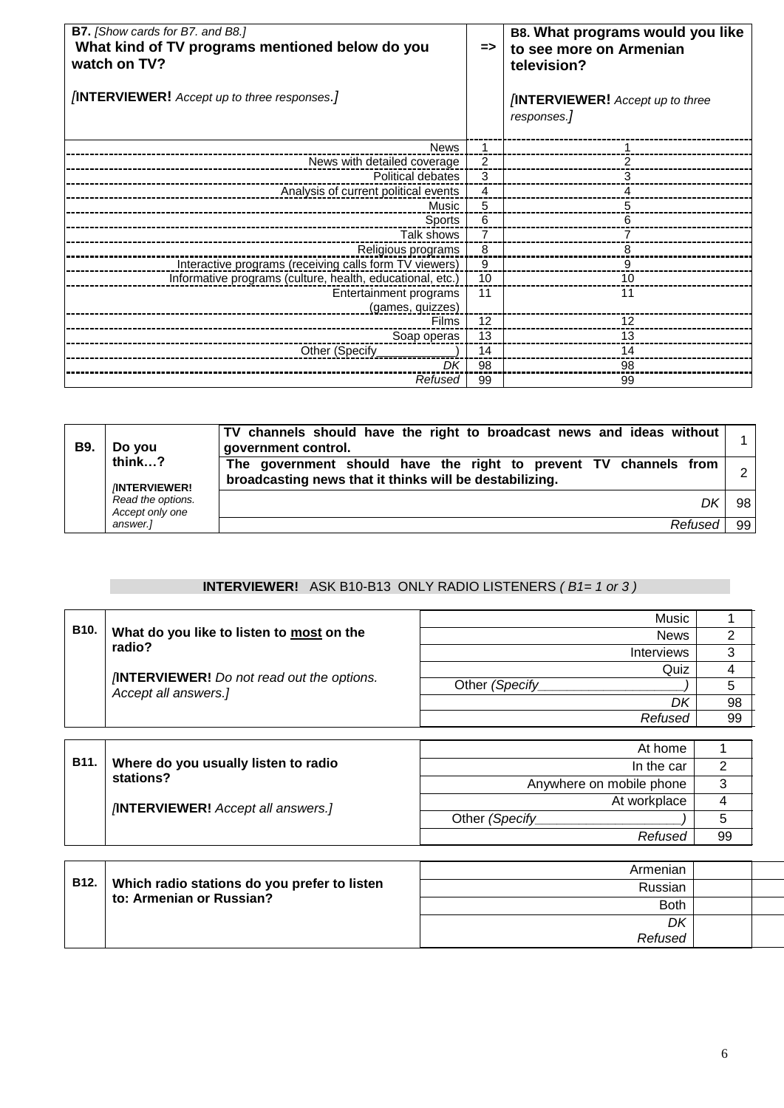| <b>B7.</b> [Show cards for B7. and B8.]<br>What kind of TV programs mentioned below do you<br>watch on TV?<br><b><i>(INTERVIEWER! Accept up to three responses.)</i></b> |                   | B8. What programs would you like<br>to see more on Armenian<br>television?<br><b>INTERVIEWER!</b> Accept up to three<br>responses.] |
|--------------------------------------------------------------------------------------------------------------------------------------------------------------------------|-------------------|-------------------------------------------------------------------------------------------------------------------------------------|
| <b>News</b>                                                                                                                                                              | $\mathbf{1}$      |                                                                                                                                     |
| News with detailed coverage                                                                                                                                              | $\overline{2}$    |                                                                                                                                     |
| Political debates                                                                                                                                                        | 3                 | 3                                                                                                                                   |
| Analysis of current political events                                                                                                                                     | 4                 | 4                                                                                                                                   |
| Music                                                                                                                                                                    | 5                 | 5                                                                                                                                   |
| Sports                                                                                                                                                                   | 6                 | 6                                                                                                                                   |
| Talk shows                                                                                                                                                               | $\overline{7}$    |                                                                                                                                     |
| Religious programs                                                                                                                                                       | 8                 | 8                                                                                                                                   |
| Interactive programs (receiving calls form TV viewers)                                                                                                                   | 9                 | 9                                                                                                                                   |
| Informative programs (culture, health, educational, etc.)                                                                                                                | 10                | 10                                                                                                                                  |
| Entertainment programs                                                                                                                                                   | 11                | 11                                                                                                                                  |
| (games, quizzes)                                                                                                                                                         |                   |                                                                                                                                     |
| <b>Films</b>                                                                                                                                                             | $12 \overline{ }$ | 12                                                                                                                                  |
| Soap operas                                                                                                                                                              | 13                | 13                                                                                                                                  |
| Other (Specify_                                                                                                                                                          | 14                | 14                                                                                                                                  |
| DK                                                                                                                                                                       | 98                | 98                                                                                                                                  |
| Refused                                                                                                                                                                  | 99                | 99                                                                                                                                  |

#### **B9. Do you**

**think…?**  *[***INTERVIEWER!** *Read the options. Accept only one* 

*answer.]*

**TV channels should have the right to broadcast news and ideas without government control.** <sup>1</sup> **The government should have the right to prevent TV channels from broadcasting news that it thinks will be destabilizing.** <sup>2</sup>

*Refused* 99

*DK* 98

### **INTERVIEWER!** ASK B10-B13 ONLY RADIO LISTENERS *( B1= 1 or 3 )*

|                   | What do you like to listen to most on the                                | Music                    |                |
|-------------------|--------------------------------------------------------------------------|--------------------------|----------------|
| B <sub>10</sub> . |                                                                          | <b>News</b>              | 2              |
|                   | radio?                                                                   | <b>Interviews</b>        | 3              |
|                   |                                                                          | Quiz                     | 4              |
|                   | <b>INTERVIEWER!</b> Do not read out the options.<br>Accept all answers.] | Other (Specify           | 5              |
|                   |                                                                          | DK                       | 98             |
|                   |                                                                          | Refused                  | 99             |
|                   |                                                                          |                          |                |
|                   |                                                                          | At home                  |                |
| B <sub>11</sub> . | Where do you usually listen to radio                                     | In the car               | $\overline{2}$ |
|                   | stations?                                                                | Anywhere on mobile phone | 3              |
|                   | <b>INTERVIEWER!</b> Accept all answers.]                                 | At workplace             | 4              |
|                   |                                                                          | Other (Specify           | 5              |
|                   |                                                                          | Refused                  | 99             |
|                   |                                                                          |                          |                |

|             |                                              | Armenian    |  |
|-------------|----------------------------------------------|-------------|--|
| <b>B12.</b> | Which radio stations do you prefer to listen | Russian     |  |
|             | to: Armenian or Russian?                     | <b>Both</b> |  |
|             |                                              | DK          |  |
|             |                                              | Refused     |  |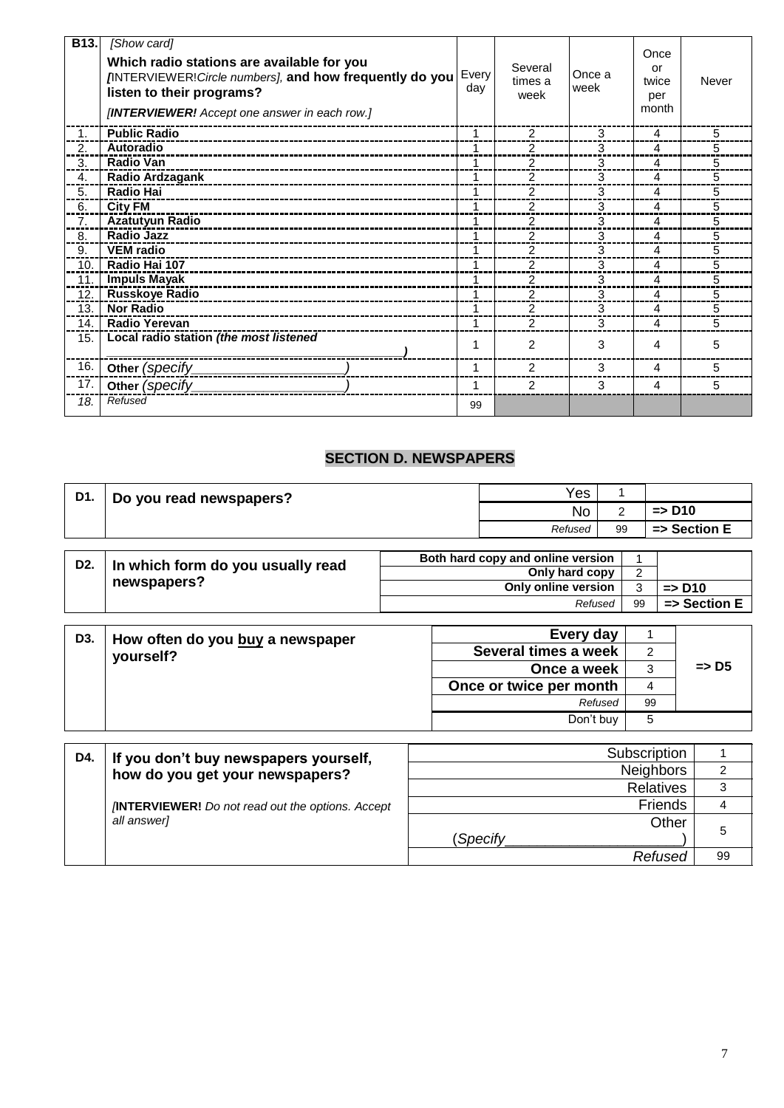| B13. | [Show card]<br>Which radio stations are available for you<br><b>INTERVIEWER! Circle numbers], and how frequently do you</b><br>listen to their programs?<br>[INTERVIEWER! Accept one answer in each row.] | Every<br>day | Several<br>times a<br>week | Once a<br>week | Once<br>or<br>twice<br>per<br>month | Never |
|------|-----------------------------------------------------------------------------------------------------------------------------------------------------------------------------------------------------------|--------------|----------------------------|----------------|-------------------------------------|-------|
| 1.   | <b>Public Radio</b>                                                                                                                                                                                       | 1            | $\mathcal{P}$              | 3              | 4                                   | 5     |
| 2.   | Autoradio                                                                                                                                                                                                 |              | $\mathfrak{p}$             | 3              | 4                                   | 5     |
| 3.   | <b>Radio Van</b>                                                                                                                                                                                          |              | 2                          | 3              | 4                                   | 5     |
| 4.   | Radio Ardzagank<br>_____________________________________                                                                                                                                                  | 1            | 2                          | 3              | 4                                   | 5     |
| 5.   | <b>Radio Hai</b>                                                                                                                                                                                          | 1            | $\overline{2}$             | 3              | 4                                   | 5     |
| 6.   | <b>City FM</b>                                                                                                                                                                                            |              | 2                          | 3              | 4                                   | 5     |
| 7.   | <b>Azatutyun Radio</b>                                                                                                                                                                                    |              | $\overline{2}$             | 3              | 4                                   | 5     |
| 8.   | <b>Radio Jazz</b>                                                                                                                                                                                         |              | 2                          | 3              | 4                                   | 5     |
| 9.   | <b>VEM</b> radio                                                                                                                                                                                          |              | $\mathfrak{p}$             | 3              | 4                                   | 5     |
| 10.  | Radio Hai 107                                                                                                                                                                                             |              | 2                          | 3              | 4                                   | 5     |
| 11.  | <b>Impuls Mayak</b>                                                                                                                                                                                       | 1            | 2                          | 3              | 4                                   | 5     |
| 12.  | <b>Russkoye Radio</b>                                                                                                                                                                                     |              | $\overline{2}$             | 3              | 4                                   | 5     |
| 13.  | <b>Nor Radio</b>                                                                                                                                                                                          |              | 2                          | 3              | 4                                   | 5     |
| 14.  | <b>Radio Yerevan</b>                                                                                                                                                                                      |              | $\mathfrak{p}$             | 3              | 4                                   | 5     |
| 15.  | Local radio station (the most listened                                                                                                                                                                    | 1            | $\mathfrak{p}$             | 3              | 4                                   | 5     |
| 16.  | Other (specify_                                                                                                                                                                                           | 1            | $\mathcal{P}$              | 3              | 4                                   | 5     |
| 17.  | Other (specify_                                                                                                                                                                                           | 1            | $\mathfrak{p}$             | 3              | 4                                   | 5     |
| 18.  | Refused                                                                                                                                                                                                   | 99           |                            |                |                                     |       |

## **SECTION D. NEWSPAPERS**

| D1. | Yes<br>Do you read newspapers? |    |                               |
|-----|--------------------------------|----|-------------------------------|
|     | <b>No</b>                      | -  | $\Rightarrow$ D <sub>10</sub> |
|     | Refused                        | 99 | $\Rightarrow$ Section E       |

| In which form do you usually read | Both hard copy and online version |    |                               |
|-----------------------------------|-----------------------------------|----|-------------------------------|
|                                   | Only hard copy                    |    |                               |
| newspapers?                       | Only online version               |    | $\Rightarrow$ D <sub>10</sub> |
|                                   | Refused                           | 99 | $\Rightarrow$ Section E       |

| D3. | How often do you buy a newspaper | Every day               |               |                  |
|-----|----------------------------------|-------------------------|---------------|------------------|
|     | yourself?                        | Several times a week    | $\mathcal{P}$ |                  |
|     |                                  | Once a week             |               | $\Rightarrow$ D5 |
|     |                                  | Once or twice per month | 4             |                  |
|     |                                  | Refused                 | 99            |                  |
|     |                                  | Don't buy               | 5             |                  |

| D4. | If you don't buy newspapers yourself,                   | Subscription     |    |
|-----|---------------------------------------------------------|------------------|----|
|     | how do you get your newspapers?                         | <b>Neighbors</b> |    |
|     |                                                         | <b>Relatives</b> |    |
|     | <b>INTERVIEWER!</b> Do not read out the options. Accept | <b>Friends</b>   |    |
|     | all answer]                                             | Other            |    |
|     |                                                         | ' Specify        | 5  |
|     |                                                         | Refused          | 99 |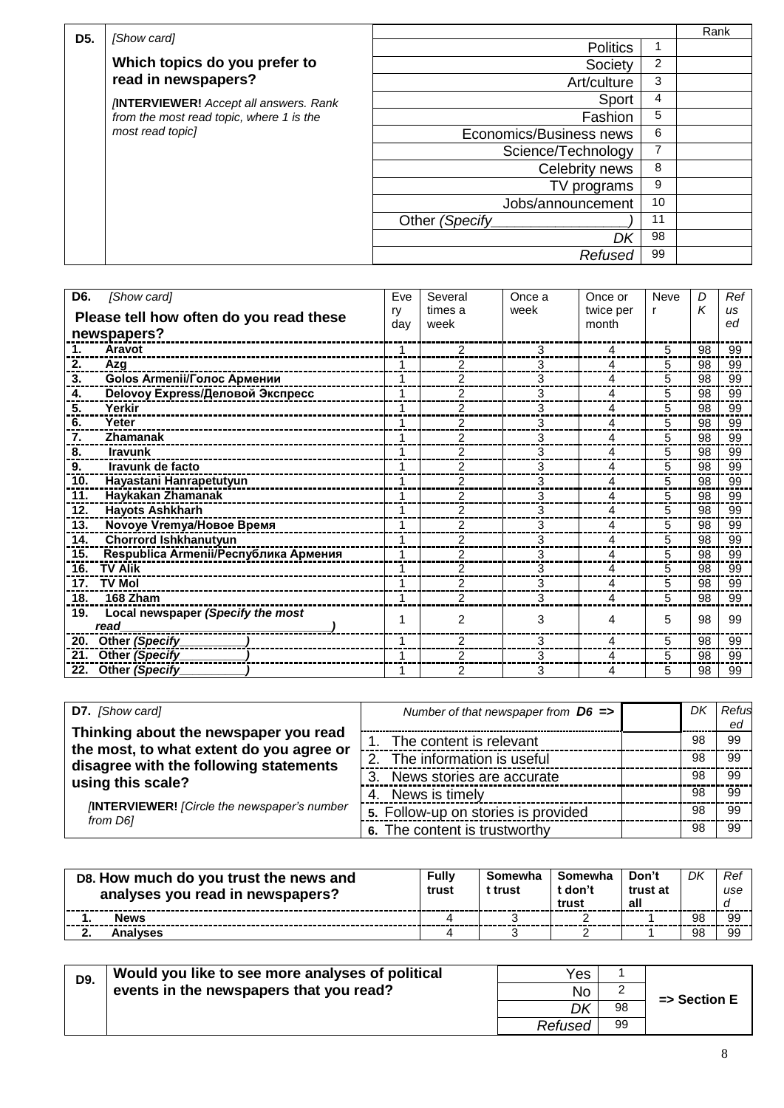| D <sub>5</sub> . | [Show card]                                                  |                         |                | Rank |
|------------------|--------------------------------------------------------------|-------------------------|----------------|------|
|                  |                                                              | <b>Politics</b>         | 1              |      |
|                  | Which topics do you prefer to                                | Society                 | $\overline{2}$ |      |
|                  | read in newspapers?                                          | Art/culture             | 3              |      |
|                  | <b>INTERVIEWER!</b> Accept all answers. Rank                 | Sport                   | 4              |      |
|                  | from the most read topic, where 1 is the<br>most read topicl | Fashion                 | 5              |      |
|                  |                                                              | Economics/Business news | 6              |      |
|                  |                                                              | Science/Technology      | 7              |      |
|                  |                                                              | Celebrity news          | 8              |      |
|                  |                                                              | TV programs             | 9              |      |
|                  |                                                              | Jobs/announcement       | 10             |      |
|                  |                                                              | Other (Specify          | 11             |      |
|                  |                                                              | Dk                      | 98             |      |
|                  |                                                              | Refused                 | 99             |      |

| D <sub>6</sub> .<br>[Show card]              | Eve       | Several         | Once a | Once or            | Neve | D  | Ref             |
|----------------------------------------------|-----------|-----------------|--------|--------------------|------|----|-----------------|
| Please tell how often do you read these      | ry<br>day | times a<br>week | week   | twice per<br>month | r    | К  | <b>US</b><br>ed |
| newspapers?                                  |           |                 |        |                    |      |    |                 |
| <b>Aravot</b><br>1.                          |           | 2               | 3      | 4                  | 5    | 98 | 99              |
| 2.<br>Azg                                    |           | 2               | 3      | 4                  | 5    | 98 | 99              |
| Golos Armenii/Голос Армении<br>3.            | 1         | 2               | 3      | 4                  | 5    | 98 | 99              |
| Delovoy Express/Деловой Экспресс<br>4.       |           | 2               | 3      | 4                  | 5    | 98 | 99              |
| Yerkir<br>5.                                 |           | 2               | 3      | 4                  | 5    | 98 | 99              |
| Yeter<br>6.                                  |           | 2               | 3      | 4                  | 5    | 98 | 99              |
| 7.<br>Zhamanak                               |           | 2               | 3      | 4                  | 5    | 98 | 99              |
| 8.<br><b>Iravunk</b>                         |           | 2               | 3      | 4                  | 5    | 98 | 99              |
| Iravunk de facto<br>9.                       |           | 2               | 3      | 4                  | 5    | 98 | 99              |
| Hayastani Hanrapetutyun<br>10.               |           | 2               | 3      | 4                  | 5    | 98 | 99              |
| Haykakan Zhamanak<br>11.                     | 1         | 2               | 3      | 4                  | 5    | 98 | 99              |
| <b>Hayots Ashkharh</b><br>12.                |           | $\overline{2}$  | 3      | 4                  | 5    | 98 | 99              |
| Novoye Vremya/Новое Время<br>13.             |           | 2               | 3      | 4                  | 5    | 98 | 99              |
| <b>Chorrord Ishkhanutyun</b><br>14.          |           | 2               | 3      | 4                  | 5    | 98 | 99              |
| 15.<br>Respublica Armenii/Республика Армения |           | 2               | 3      | 4                  | 5    | 98 | 99              |
| <b>TV Alik</b><br>16.                        |           | 2               | 3      | 4                  | 5    | 98 | 99              |
| <b>TV Mol</b><br>17.                         |           | $\overline{2}$  | 3      | 4                  | 5    | 98 | 99              |
| 18.<br>168 Zham                              |           | $\overline{2}$  | 3      | 4                  | 5    | 98 | 99              |
| Local newspaper (Specify the most<br>19.     |           | $\mathfrak{p}$  | 3      | 4                  | 5    | 98 | 99              |
| read                                         |           |                 |        |                    |      |    |                 |
| Other (Specify<br>20.                        | 1         | 2               | 3      | 4                  | 5    | 98 | 99              |
| Other (Specify<br>21.                        |           | 2               | 3      | 4                  | 5    | 98 | 99              |
| Other (Specify<br>22.                        |           | 2               | 3      | 4                  | 5    | 98 | 99              |

| D7. [Show card]                                                                                                               | Number of that newspaper from $D6 \implies$ | DK | Refus |
|-------------------------------------------------------------------------------------------------------------------------------|---------------------------------------------|----|-------|
|                                                                                                                               |                                             |    | ed    |
| Thinking about the newspaper you read<br>the most, to what extent do you agree or                                             | The content is relevant                     | 98 | 99    |
| disagree with the following statements<br>using this scale?<br><b>INTERVIEWER!</b> [Circle the newspaper's number<br>from D61 | 2. The information is useful                | 98 | 99    |
|                                                                                                                               | News stories are accurate<br>3.             | 98 | 99    |
|                                                                                                                               | News is timely<br>4.                        | 98 | .99   |
|                                                                                                                               | 5. Follow-up on stories is provided         | 98 | .99   |
|                                                                                                                               | 6. The content is trustworthy               | 98 | .99   |

| D8. How much do you trust the news and<br>analyses you read in newspapers? | <b>Fully</b><br>trust | Somewha<br>t trust | Somewha<br>t don't<br>trust | Don't<br>trust at<br>all | DK | Rei<br>use |
|----------------------------------------------------------------------------|-----------------------|--------------------|-----------------------------|--------------------------|----|------------|
| <b>News</b>                                                                |                       |                    |                             |                          | 98 | ۵o         |
| <b>\nalvses</b>                                                            |                       |                    |                             |                          | 98 | 99         |

| D9. | Would you like to see more analyses of political | Yes     |    |                         |
|-----|--------------------------------------------------|---------|----|-------------------------|
|     | events in the newspapers that you read?          | No      | ▃  | $\Rightarrow$ Section E |
|     |                                                  | DK      | 98 |                         |
|     |                                                  | Refused | 99 |                         |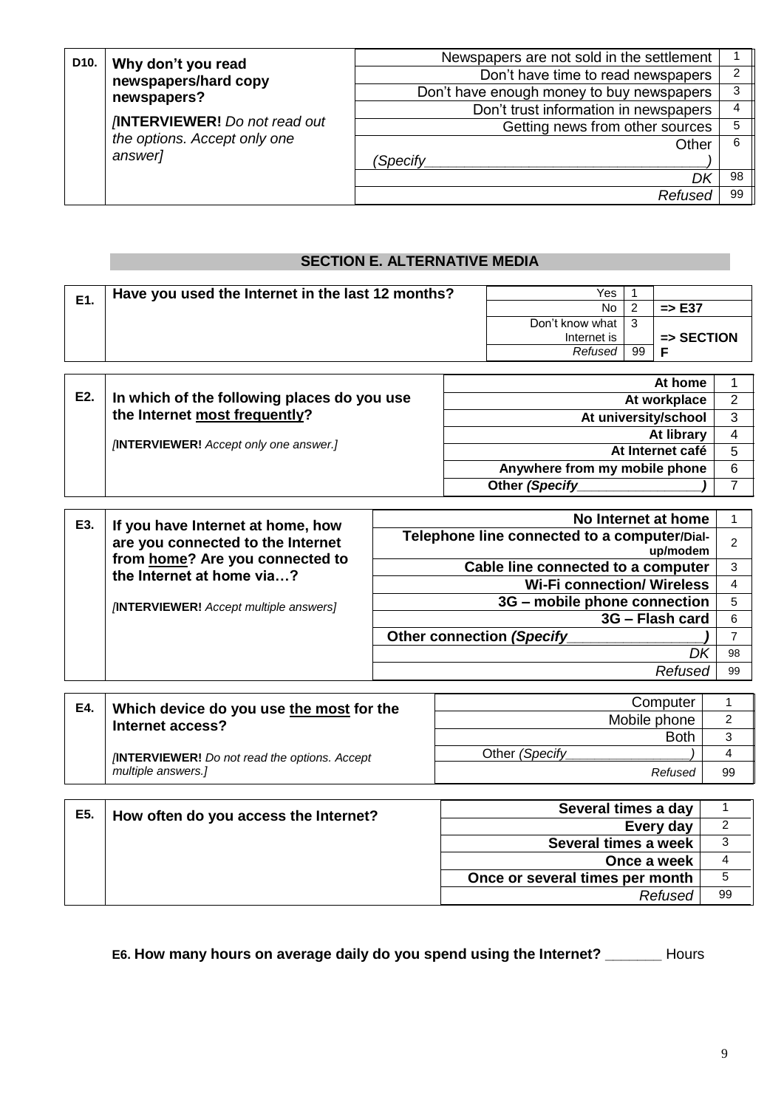|  | D <sub>10</sub> .<br>Why don't you read<br>newspapers/hard copy<br>newspapers?<br><b>INTERVIEWER!</b> Do not read out<br>the options. Accept only one<br>answer] | Newspapers are not sold in the settlement |    |
|--|------------------------------------------------------------------------------------------------------------------------------------------------------------------|-------------------------------------------|----|
|  |                                                                                                                                                                  | Don't have time to read newspapers        | າ  |
|  |                                                                                                                                                                  | Don't have enough money to buy newspapers | 3  |
|  |                                                                                                                                                                  | Don't trust information in newspapers     |    |
|  |                                                                                                                                                                  | Getting news from other sources           |    |
|  |                                                                                                                                                                  | Other                                     | 6  |
|  |                                                                                                                                                                  | (Specify                                  |    |
|  |                                                                                                                                                                  |                                           | 98 |
|  |                                                                                                                                                                  | Refused                                   | 99 |

### **SECTION E. ALTERNATIVE MEDIA**

| E1. | Have you used the Internet in the last 12 months? | Yes             |    |                       |
|-----|---------------------------------------------------|-----------------|----|-----------------------|
|     |                                                   | No.             | ົ  | $\Rightarrow$ E37     |
|     |                                                   | Don't know what | 3  |                       |
|     |                                                   | Internet is     |    | $\Rightarrow$ SECTION |
|     |                                                   | Refused         | 99 |                       |
|     |                                                   |                 |    |                       |

| E2. | In which of the following places do you use          | At home                       |   |
|-----|------------------------------------------------------|-------------------------------|---|
|     |                                                      | At workplace                  | ົ |
|     | the Internet most frequently?                        | At university/school          | 3 |
|     | <b><i>[INTERVIEWER! Accept only one answer.]</i></b> | At library                    |   |
|     |                                                      | At Internet café              | 5 |
|     |                                                      | Anywhere from my mobile phone | 6 |
|     |                                                      | Other (Specify                |   |
|     |                                                      |                               |   |

|  | E3.<br>If you have Internet at home, how<br>are you connected to the Internet<br>from home? Are you connected to<br>the Internet at home via? | No Internet at home                                      |    |
|--|-----------------------------------------------------------------------------------------------------------------------------------------------|----------------------------------------------------------|----|
|  |                                                                                                                                               | Telephone line connected to a computer/Dial-<br>up/modem | 2  |
|  |                                                                                                                                               | Cable line connected to a computer                       | 3  |
|  |                                                                                                                                               | <b>Wi-Fi connection/ Wireless</b>                        |    |
|  | <b>INTERVIEWER!</b> Accept multiple answers]                                                                                                  | 3G – mobile phone connection                             | 5  |
|  |                                                                                                                                               | 3G - Flash card                                          | 6  |
|  |                                                                                                                                               | <b>Other connection (Specify</b>                         |    |
|  |                                                                                                                                               |                                                          | 98 |
|  |                                                                                                                                               | Refused                                                  | 99 |
|  |                                                                                                                                               |                                                          |    |

| E4. | Which device do you use the most for the                                  | Computer        |    |
|-----|---------------------------------------------------------------------------|-----------------|----|
|     | Internet access?                                                          | Mobile phone    |    |
|     |                                                                           | <b>Both</b>     |    |
|     | <b>INTERVIEWER!</b> Do not read the options. Accept<br>multiple answers.] | Other (Specify) |    |
|     |                                                                           | Refused         | 99 |
|     |                                                                           |                 |    |

| E5. | How often do you access the Internet? | Several times a day             |    |
|-----|---------------------------------------|---------------------------------|----|
|     |                                       | Every day                       |    |
|     |                                       | Several times a week            |    |
|     |                                       | Once a week                     |    |
|     |                                       | Once or several times per month | 5  |
|     |                                       | Refused                         | 99 |
|     |                                       |                                 |    |

**E6. How many hours on average daily do you spend using the Internet? \_\_\_\_\_\_\_** Hours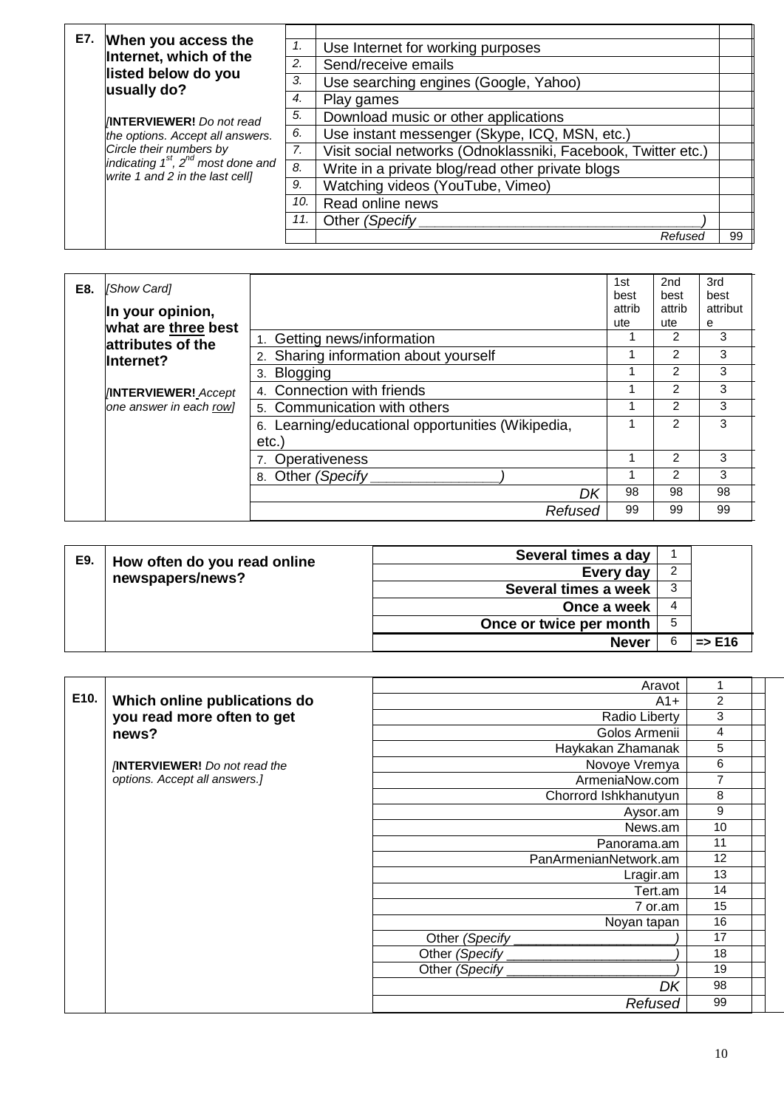| E7. | When you access the                                                                                                                                                          |     |                                                               |    |
|-----|------------------------------------------------------------------------------------------------------------------------------------------------------------------------------|-----|---------------------------------------------------------------|----|
|     | Internet, which of the                                                                                                                                                       |     | Use Internet for working purposes                             |    |
|     | listed below do you<br>usually do?                                                                                                                                           | 2.  | Send/receive emails                                           |    |
|     |                                                                                                                                                                              | 3.  | Use searching engines (Google, Yahoo)                         |    |
|     |                                                                                                                                                                              | 4.  | Play games                                                    |    |
|     | <b>INNTERVIEWER!</b> Do not read<br>the options. Accept all answers.<br>Circle their numbers by<br>indicating $1st$ , $2nd$ most done and<br>write 1 and 2 in the last cell] | 5.  | Download music or other applications                          |    |
|     |                                                                                                                                                                              | 6.  | Use instant messenger (Skype, ICQ, MSN, etc.)                 |    |
|     |                                                                                                                                                                              | 7.  | Visit social networks (Odnoklassniki, Facebook, Twitter etc.) |    |
|     |                                                                                                                                                                              | 8.  | Write in a private blog/read other private blogs              |    |
|     |                                                                                                                                                                              | 9.  | Watching videos (YouTube, Vimeo)                              |    |
|     |                                                                                                                                                                              | 10. | Read online news                                              |    |
|     |                                                                                                                                                                              |     | Other (Specify                                                |    |
|     |                                                                                                                                                                              |     | Refuseo                                                       | 99 |

| E8.                                           | <b>Show Cardl</b><br>In your opinion,<br>what are three best |                                                   | 1st<br>best<br>attrib<br>ute | 2 <sub>nd</sub><br>best<br>attrib<br>ute | 3rd<br>best<br>attribut<br>е |
|-----------------------------------------------|--------------------------------------------------------------|---------------------------------------------------|------------------------------|------------------------------------------|------------------------------|
|                                               | attributes of the                                            | 1. Getting news/information                       |                              | 2                                        | 3                            |
| lInternet?                                    | 2. Sharing information about yourself                        |                                                   | $\mathcal{P}$                | 3                                        |                              |
|                                               | Blogging<br>3.                                               |                                                   | 2                            | 3                                        |                              |
| <b>INTERVIEWER!</b> Accept                    |                                                              | 4. Connection with friends                        |                              | $\mathcal{P}$                            | 3                            |
| one answer in each row]                       | 5. Communication with others                                 |                                                   | 2                            | 3                                        |                              |
| etc.<br>Operativeness<br>Other (Specify<br>8. |                                                              | 6. Learning/educational opportunities (Wikipedia, |                              | 2                                        | 3                            |
|                                               |                                                              |                                                   |                              | $\mathcal{P}$                            | 3                            |
|                                               |                                                              |                                                   |                              | 2                                        | 3                            |
|                                               |                                                              | DK                                                | 98                           | 98                                       | 98                           |
|                                               |                                                              | Refused                                           | 99                           | 99                                       | 99                           |

| E9. | How often do you read online | Several times a day     |    |                   |
|-----|------------------------------|-------------------------|----|-------------------|
|     | newspapers/news?             | Every day               |    |                   |
|     |                              | Several times a week    | 3  |                   |
|     |                              | Once a week             | 4  |                   |
|     |                              | Once or twice per month | -5 |                   |
|     |                              | <b>Never</b>            | 6  | $\Rightarrow$ E16 |

|      |                                     | Aravot                |                |
|------|-------------------------------------|-----------------------|----------------|
| E10. | Which online publications do        | $A1+$                 | $\overline{c}$ |
|      | you read more often to get          | Radio Liberty         | 3              |
|      | news?                               | Golos Armenii         | 4              |
|      |                                     | Haykakan Zhamanak     | 5              |
|      | <b>INTERVIEWER!</b> Do not read the | Novoye Vremya         | 6              |
|      | options. Accept all answers.]       | ArmeniaNow.com        | $\overline{7}$ |
|      |                                     | Chorrord Ishkhanutyun | 8              |
|      |                                     | Aysor.am              | 9              |
|      |                                     | News.am               | 10             |
|      |                                     | Panorama.am           | 11             |
|      |                                     | PanArmenianNetwork.am | 12             |
|      |                                     | Lragir.am             | 13             |
|      |                                     | Tert.am               | 14             |
|      |                                     | 7 or.am               | 15             |
|      |                                     | Noyan tapan           | 16             |
|      |                                     | Other (Specify        | 17             |
|      |                                     | Other (Specify        | 18             |
|      |                                     | Other (Specify        | 19             |
|      |                                     | DK                    | 98             |
|      |                                     | Refused               | 99             |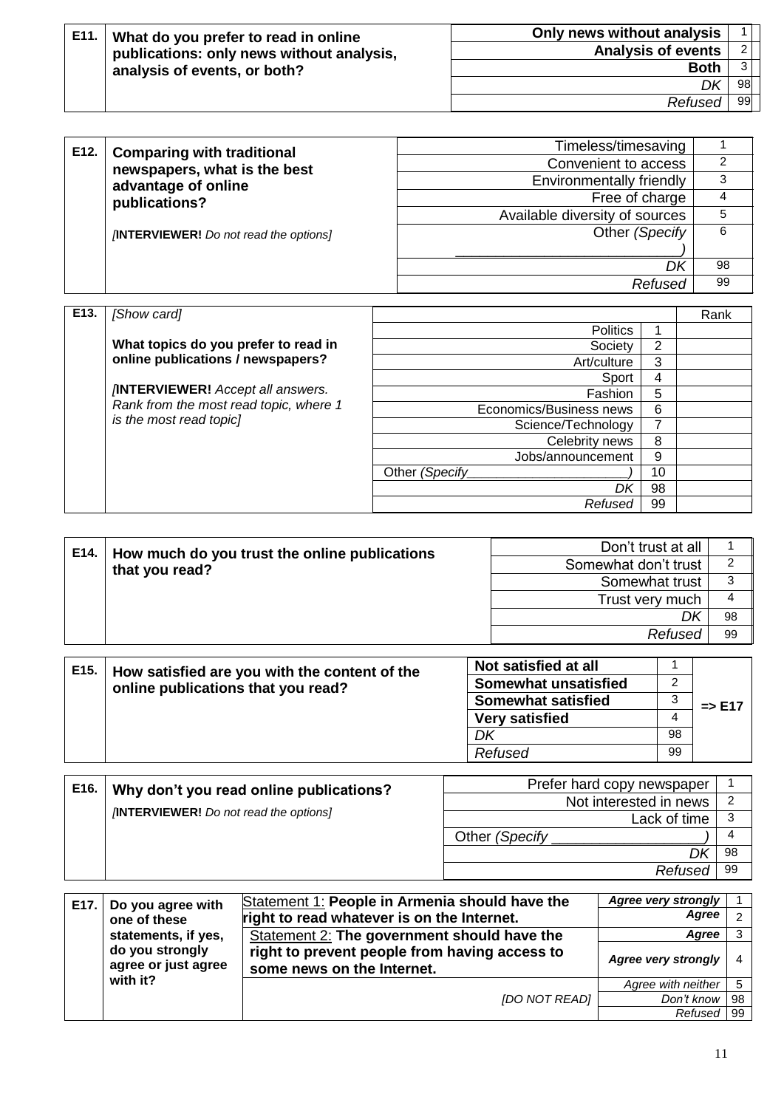| E11. | What do you prefer to read in online<br>publications: only news without analysis,<br>analysis of events, or both? | Only news without analysis |    |  |
|------|-------------------------------------------------------------------------------------------------------------------|----------------------------|----|--|
|      |                                                                                                                   | <b>Analysis of events</b>  |    |  |
|      |                                                                                                                   | <b>Both</b>                |    |  |
|      |                                                                                                                   |                            | 98 |  |
|      |                                                                                                                   | Refused                    | 99 |  |

| E12. | <b>Comparing with traditional</b>                    | Timeless/timesaving            |    |
|------|------------------------------------------------------|--------------------------------|----|
|      | newspapers, what is the best<br>advantage of online  | Convenient to access           | 2  |
|      |                                                      | Environmentally friendly       | 3  |
|      | publications?                                        | Free of charge                 | 4  |
|      |                                                      | Available diversity of sources | 5  |
|      | <b><i>[INTERVIEWER! Do not read the options]</i></b> | Other (Specify)                | 6  |
|      |                                                      |                                |    |
|      |                                                      | DK                             | 98 |
|      |                                                      | Refused                        | 99 |
|      |                                                      |                                |    |

| E <sub>13</sub> . | [Show card]                                                               |                         |    | Rank |
|-------------------|---------------------------------------------------------------------------|-------------------------|----|------|
|                   |                                                                           | <b>Politics</b>         |    |      |
|                   | What topics do you prefer to read in<br>online publications / newspapers? | Society                 | 2  |      |
|                   |                                                                           | Art/culture             | 3  |      |
|                   |                                                                           | Sport                   | 4  |      |
|                   | <b>INTERVIEWER!</b> Accept all answers.                                   | Fashion                 | 5  |      |
|                   | Rank from the most read topic, where 1<br>is the most read topic]         | Economics/Business news | 6  |      |
|                   |                                                                           | Science/Technology      | 7  |      |
|                   |                                                                           | Celebrity news          | 8  |      |
|                   |                                                                           | Jobs/announcement       | 9  |      |
|                   |                                                                           | Other (Specify          | 10 |      |
|                   |                                                                           | DK                      | 98 |      |
|                   |                                                                           | Refused                 | 99 |      |

|  | E14.<br>How much do you trust the online publications<br>that you read? | Don't trust at all   |    |
|--|-------------------------------------------------------------------------|----------------------|----|
|  |                                                                         | Somewhat don't trust |    |
|  |                                                                         | Somewhat trust       |    |
|  |                                                                         | Trust very much      |    |
|  |                                                                         | DK                   | 98 |
|  |                                                                         | Refused              | 99 |
|  |                                                                         |                      |    |
|  |                                                                         | Not entiefied at all |    |

| E15. | How satisfied are you with the content of the<br>online publications that you read? | Not satisfied at all        |    |                   |
|------|-------------------------------------------------------------------------------------|-----------------------------|----|-------------------|
|      |                                                                                     | <b>Somewhat unsatisfied</b> |    |                   |
|      |                                                                                     | <b>Somewhat satisfied</b>   |    | $\Rightarrow$ E17 |
|      |                                                                                     | <b>Very satisfied</b>       | 4  |                   |
|      |                                                                                     | DK                          | 98 |                   |
|      |                                                                                     | Refused                     | 99 |                   |
|      |                                                                                     |                             |    |                   |

| E16. | Why don't you read online publications?      | Prefer hard copy newspaper |     |
|------|----------------------------------------------|----------------------------|-----|
|      |                                              | Not interested in news     | -2  |
|      | <b>INTERVIEWER!</b> Do not read the options] | Lack of time               |     |
|      |                                              | Other (Specify             |     |
|      |                                              |                            | 98  |
|      |                                              | Refused                    | -99 |
|      |                                              |                            |     |

| E17.                                   | Do you agree with   | Statement 1: People in Armenia should have the                              | <b>Agree very strongly</b> |    |
|----------------------------------------|---------------------|-----------------------------------------------------------------------------|----------------------------|----|
|                                        | one of these        | right to read whatever is on the Internet.                                  | Agree                      |    |
|                                        | statements, if yes, | Statement 2: The government should have the                                 | Agree                      |    |
| do you strongly<br>agree or just agree |                     | right to prevent people from having access to<br>some news on the Internet. | Agree very strongly        |    |
|                                        | with it?            |                                                                             | Agree with neither         |    |
|                                        |                     | <b>IDO NOT READI</b>                                                        | Don't know                 | 98 |
|                                        |                     |                                                                             | Refused                    | 99 |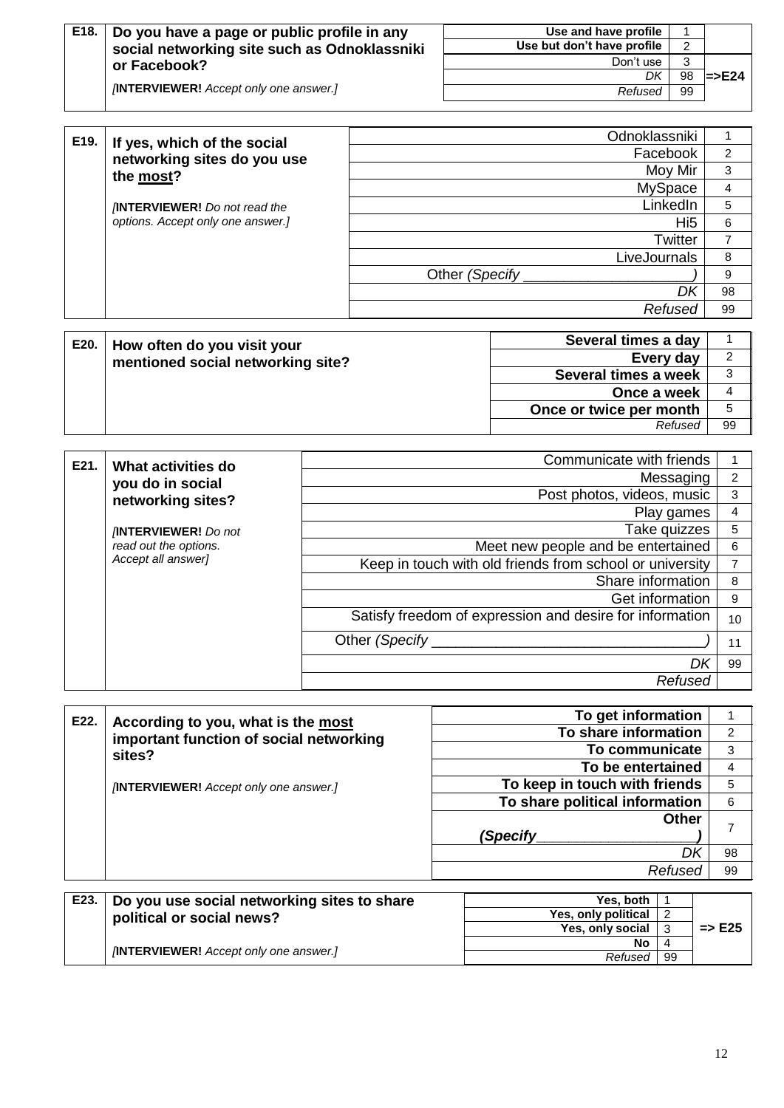| E18. | Do you have a page or public profile in any<br>social networking site such as Odnoklassniki |         | Use and have profile<br>Use but don't have profile | 2               |                           |
|------|---------------------------------------------------------------------------------------------|---------|----------------------------------------------------|-----------------|---------------------------|
|      | or Facebook?                                                                                |         | Don't use                                          | 3               |                           |
|      |                                                                                             |         | DK                                                 | 98              | $\blacktriangleright$ E24 |
|      | <b>INTERVIEWER!</b> Accept only one answer.]                                                |         | Refused                                            | 99              |                           |
|      |                                                                                             |         |                                                    |                 |                           |
| E19. | If yes, which of the social<br>networking sites do you use<br>the most?                     |         | Odnoklassniki                                      |                 |                           |
|      |                                                                                             |         | Facebook                                           |                 | 2                         |
|      |                                                                                             | Moy Mir |                                                    |                 | 3                         |
|      |                                                                                             |         | <b>MySpace</b>                                     |                 | 4                         |
|      | <b>INTERVIEWER!</b> Do not read the                                                         |         |                                                    | LinkedIn        | 5                         |
|      | options. Accept only one answer.]                                                           |         |                                                    | Hi <sub>5</sub> | 6                         |
|      |                                                                                             |         |                                                    | Twitter         | $\overline{7}$            |
|      |                                                                                             |         | LiveJournals                                       |                 | 8                         |
|      |                                                                                             |         | Other (Specify)                                    |                 | 9                         |

| E20. | How often do you visit your<br>mentioned social networking site? | Several times a day     |    |
|------|------------------------------------------------------------------|-------------------------|----|
|      |                                                                  | Every day               |    |
|      |                                                                  | Several times a week    |    |
|      |                                                                  | Once a week             |    |
|      |                                                                  | Once or twice per month |    |
|      |                                                                  | Refused                 | 99 |

| E21. | What activities do         | Communicate with friends                                 |    |
|------|----------------------------|----------------------------------------------------------|----|
|      | you do in social           | Messaging                                                | 2  |
|      | networking sites?          | Post photos, videos, music                               | 3  |
|      |                            | Play games                                               |    |
|      | <b>INTERVIEWER!</b> Do not | Take quizzes                                             | 5  |
|      | read out the options.      | Meet new people and be entertained                       | 6  |
|      | Accept all answer]         | Keep in touch with old friends from school or university |    |
|      |                            | Share information                                        | 8  |
|      |                            | Get information                                          | 9  |
|      |                            | Satisfy freedom of expression and desire for information | 10 |
|      |                            | Other (Specify                                           |    |
|      |                            | Dr                                                       | 99 |
|      |                            | Refused                                                  |    |

| E22.            | According to you, what is the most           | To get information             |    |
|-----------------|----------------------------------------------|--------------------------------|----|
|                 | important function of social networking      | To share information           | 2  |
|                 | sites?                                       | To communicate                 | 3  |
|                 |                                              | To be entertained              | 4  |
|                 | <b>INTERVIEWER!</b> Accept only one answer.] | To keep in touch with friends  | 5  |
|                 |                                              | To share political information | 6  |
|                 |                                              | <b>Other</b>                   |    |
|                 |                                              | (Specify                       |    |
|                 |                                              | Dk                             | 98 |
|                 |                                              | Refused                        | 99 |
|                 |                                              |                                |    |
| F <sub>23</sub> | Do vou use social networking sites to share  | Yes hoth                       |    |

| E23. | Do you use social networking sites to share  | Yes, both           |    |                   |
|------|----------------------------------------------|---------------------|----|-------------------|
|      | political or social news?                    | Yes, only political |    |                   |
|      |                                              | Yes, only social    |    | $\Rightarrow$ E25 |
|      |                                              | No                  |    |                   |
|      | <b>INTERVIEWER!</b> Accept only one answer.] | Refused             | 99 |                   |

*DK* 98 *Refused* 99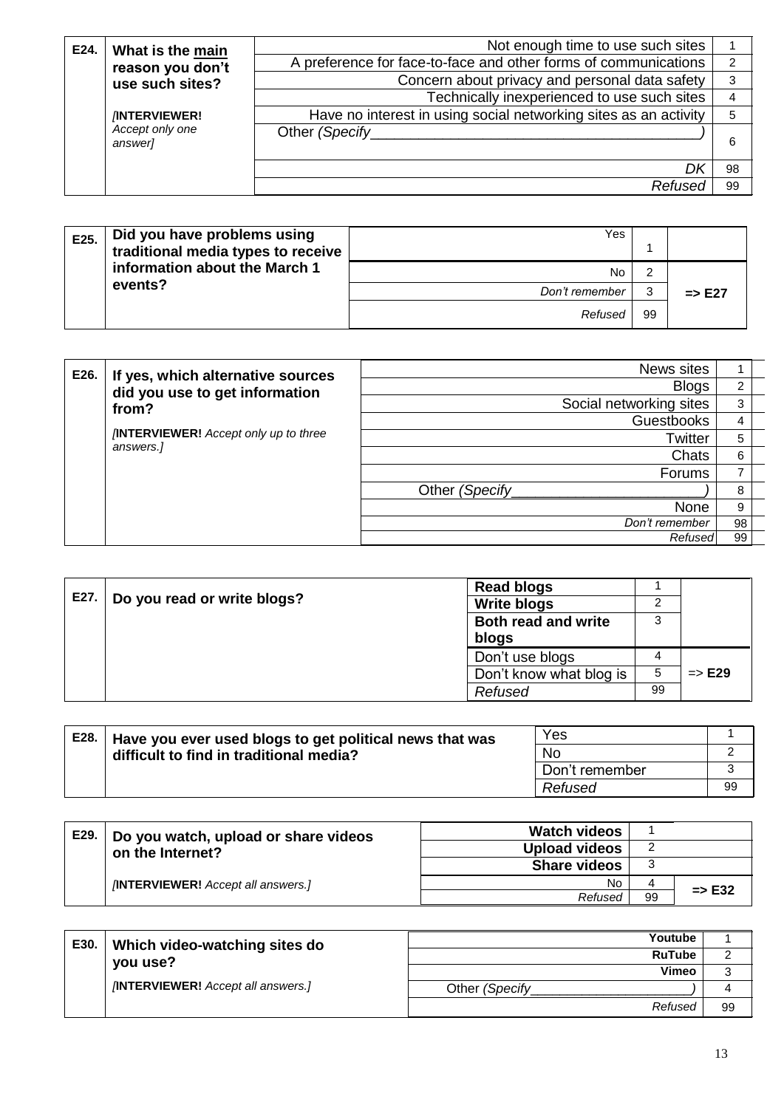| E24. | What is the main           | Not enough time to use such sites                                |    |
|------|----------------------------|------------------------------------------------------------------|----|
|      | reason you don't           | A preference for face-to-face and other forms of communications  | 2  |
|      | use such sites?            | Concern about privacy and personal data safety                   | 3  |
|      |                            | Technically inexperienced to use such sites                      | 4  |
|      | <b>INTERVIEWER!</b>        | Have no interest in using social networking sites as an activity | 5  |
|      | Accept only one<br>answer] | Other (Specify)                                                  | 6  |
|      |                            |                                                                  | 98 |
|      |                            | Refused                                                          | 99 |

| E25. | Did you have problems using<br>traditional media types to receive | Yes            |        |                   |
|------|-------------------------------------------------------------------|----------------|--------|-------------------|
|      | information about the March 1                                     | No             |        |                   |
|      | events?                                                           | Don't remember | G<br>J | $\Rightarrow$ E27 |
|      |                                                                   | Refused        | 99     |                   |

| E26. | If yes, which alternative sources                        | News sites              |                             |  |
|------|----------------------------------------------------------|-------------------------|-----------------------------|--|
|      | did you use to get information                           | <b>Blogs</b>            | 2                           |  |
|      | from?                                                    | Social networking sites | 3                           |  |
|      |                                                          | <b>Guestbooks</b>       | 4                           |  |
|      | <b>INTERVIEWER!</b> Accept only up to three<br>answers.] | <b>Twitter</b>          | 5<br>6<br>7<br>8<br>9<br>98 |  |
|      |                                                          | Chats                   |                             |  |
|      |                                                          | Forums                  |                             |  |
|      |                                                          | Other (Specify)         |                             |  |
|      |                                                          | None                    |                             |  |
|      |                                                          | Don't remember          |                             |  |
|      |                                                          | Refused                 | 99                          |  |

|      | <b>Read blogs</b>                                 |    |                   |
|------|---------------------------------------------------|----|-------------------|
| E27. | Do you read or write blogs?<br><b>Write blogs</b> | ົ  |                   |
|      | <b>Both read and write</b>                        | 3  |                   |
|      | blogs                                             |    |                   |
|      | Don't use blogs                                   |    |                   |
|      | Don't know what blog is                           | 5  | $\Rightarrow$ E29 |
|      | Refused                                           | 99 |                   |
|      |                                                   |    |                   |

| E28. | Have you ever used blogs to get political news that was | Yes            |    |
|------|---------------------------------------------------------|----------------|----|
|      | difficult to find in traditional media?                 | <b>No</b>      |    |
|      |                                                         | Don't remember |    |
|      |                                                         | Refused        | 99 |

| E29. | Do you watch, upload or share videos     | <b>Watch videos</b> |    |                   |
|------|------------------------------------------|---------------------|----|-------------------|
|      | on the Internet?                         | Upload videos       |    |                   |
|      |                                          | <b>Share videos</b> |    |                   |
|      | <b>INTERVIEWER!</b> Accept all answers.] | No.                 |    | $\Rightarrow$ E32 |
|      |                                          | Refused             | 99 |                   |

| E30. | Which video-watching sites do            | Youtube               |    |
|------|------------------------------------------|-----------------------|----|
|      | you use?                                 | <b>RuTube</b>         |    |
|      |                                          | Vimeo                 |    |
|      | <b>INTERVIEWER!</b> Accept all answers.] | Other <i>(Specify</i> |    |
|      |                                          | Refused               | 99 |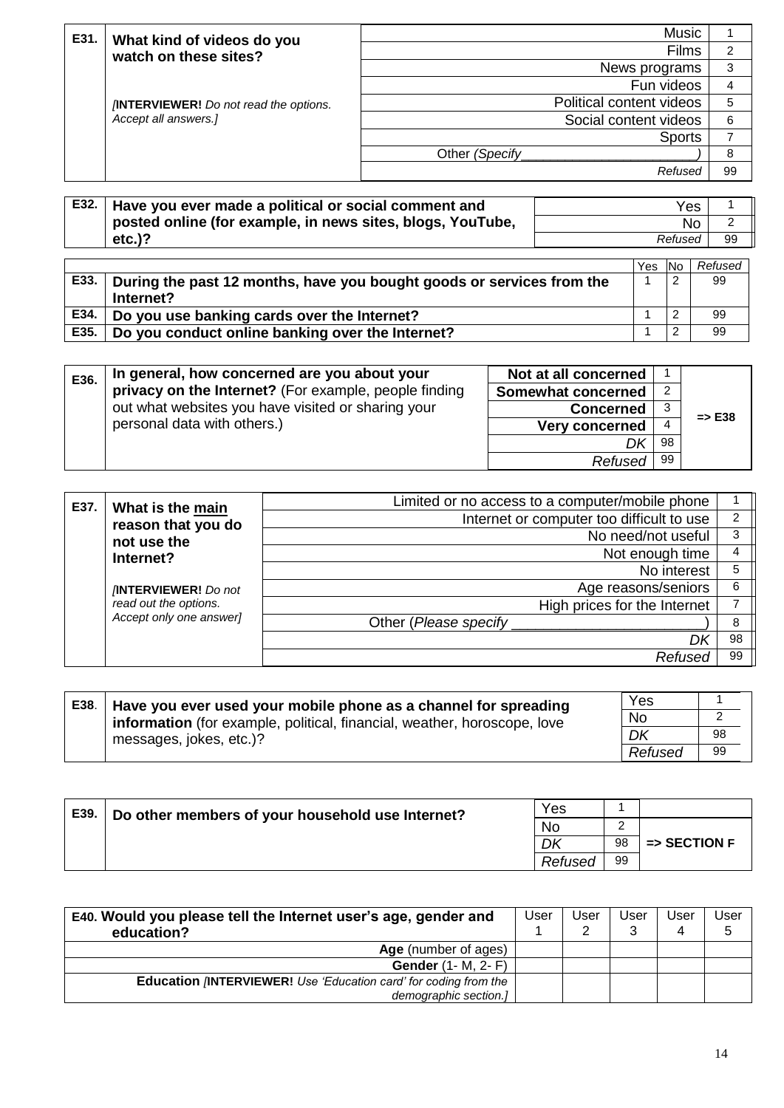| E31.                                         | What kind of videos do you | <b>Music</b>             |    |
|----------------------------------------------|----------------------------|--------------------------|----|
|                                              | watch on these sites?      | Films                    | 2  |
|                                              |                            | News programs            | 3  |
|                                              |                            | Fun videos               | 4  |
| <b>INTERVIEWER!</b> Do not read the options. |                            | Political content videos | 5  |
|                                              | Accept all answers.]       | Social content videos    | 6  |
|                                              |                            | <b>Sports</b>            |    |
|                                              |                            | Other (Specify)          | 8  |
|                                              |                            | Refused                  | 99 |
|                                              |                            |                          |    |

| E32. | Have you ever made a political or social comment and       | Yes     |    |
|------|------------------------------------------------------------|---------|----|
|      | posted online (for example, in news sites, blogs, YouTube, | No      |    |
|      | $etc.$ )?                                                  | Refused | 99 |

|      |                                                                       | <b>Yes</b> | <b>No</b> | Refused |
|------|-----------------------------------------------------------------------|------------|-----------|---------|
| E33. | During the past 12 months, have you bought goods or services from the |            | റ<br>৴    | 99      |
|      | Internet?                                                             |            |           |         |
| E34. | Do you use banking cards over the Internet?                           |            |           | 99      |
| E35. | Do you conduct online banking over the Internet?                      |            |           | 99      |

| E36. | In general, how concerned are you about your          | Not at all concerned  |    |                   |
|------|-------------------------------------------------------|-----------------------|----|-------------------|
|      | privacy on the Internet? (For example, people finding | Somewhat concerned    |    |                   |
|      | out what websites you have visited or sharing your    | <b>Concerned</b>      |    | $\Rightarrow$ E38 |
|      | personal data with others.)                           | <b>Very concerned</b> | 4  |                   |
|      |                                                       | DK                    | 98 |                   |
|      |                                                       | Refused               | 99 |                   |

| E37. | What is the main           | Limited or no access to a computer/mobile phone |               |
|------|----------------------------|-------------------------------------------------|---------------|
|      | reason that you do         | Internet or computer too difficult to use       | $\mathcal{P}$ |
|      | not use the                | No need/not useful                              | 3             |
|      | Internet?                  | Not enough time                                 | 4             |
|      |                            | No interest                                     | 5             |
|      | <b>INTERVIEWER!</b> Do not | Age reasons/seniors                             | 6             |
|      | read out the options.      | High prices for the Internet                    |               |
|      | Accept only one answer]    | Other (Please specify                           | 8             |
|      |                            | DΙ                                              | 98            |
|      |                            | Refused                                         | 99            |

| E38. | Have you ever used your mobile phone as a channel for spreading          | Yes     |    |
|------|--------------------------------------------------------------------------|---------|----|
|      | information (for example, political, financial, weather, horoscope, love | No      |    |
|      | messages, jokes, etc.)?                                                  | DK      | 98 |
|      |                                                                          | Refused | 99 |

| E39. | Do other members of your household use Internet? | Yes     |    |                         |
|------|--------------------------------------------------|---------|----|-------------------------|
|      |                                                  |         | ◠  |                         |
|      |                                                  | DK      | 98 | $\Rightarrow$ SECTION F |
|      |                                                  | Refused | 99 |                         |

| E40. Would you please tell the Internet user's age, gender and<br>education?                     | User | User<br>⌒ | Jser<br>າ | User | User<br>b |
|--------------------------------------------------------------------------------------------------|------|-----------|-----------|------|-----------|
| Age (number of ages)                                                                             |      |           |           |      |           |
| <b>Gender</b> (1- M, 2- F)                                                                       |      |           |           |      |           |
| <b>Education /INTERVIEWER!</b> Use 'Education card' for coding from the<br>demographic section.] |      |           |           |      |           |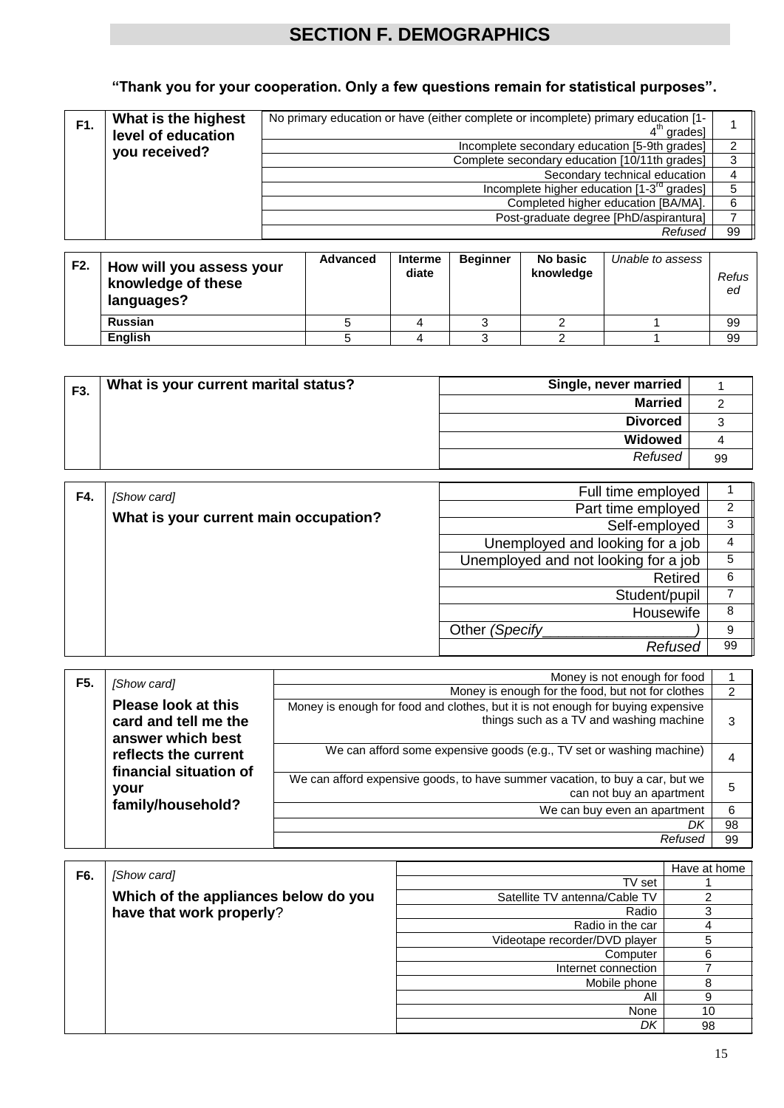## **SECTION F. DEMOGRAPHICS**

## **"Thank you for your cooperation. Only a few questions remain for statistical purposes".**

| F1. | What is the highest<br>level of education | No primary education or have (either complete or incomplete) primary education [1-<br>$4th$ grades] |    |
|-----|-------------------------------------------|-----------------------------------------------------------------------------------------------------|----|
|     | you received?                             | Incomplete secondary education [5-9th grades]                                                       | 2  |
|     |                                           | Complete secondary education [10/11th grades]                                                       | 3  |
|     |                                           | Secondary technical education                                                                       | 4  |
|     |                                           | Incomplete higher education [1-3 <sup>rd</sup> grades]                                              | 5  |
|     |                                           | Completed higher education [BA/MA].                                                                 | 6  |
|     |                                           | Post-graduate degree [PhD/aspirantura]                                                              |    |
|     |                                           | Refused                                                                                             | 99 |

| F2. | How will you assess your<br>knowledge of these<br>languages? | <b>Advanced</b> | <b>Interme</b><br>diate | <b>Beginner</b> | No basic<br>knowledge | Unable to assess | Refus<br>ed |
|-----|--------------------------------------------------------------|-----------------|-------------------------|-----------------|-----------------------|------------------|-------------|
|     | Russian                                                      |                 |                         |                 |                       |                  | 99          |
|     | <b>English</b>                                               |                 |                         |                 |                       |                  | 99          |

| F3. | What is your current marital status? | Single, never married |    |
|-----|--------------------------------------|-----------------------|----|
|     |                                      | <b>Married</b>        |    |
|     |                                      | <b>Divorced</b>       |    |
|     |                                      | Widowed               |    |
|     |                                      | Refused               | 99 |

| F4. | [Show card]                           | Full time employed                   |    |
|-----|---------------------------------------|--------------------------------------|----|
|     |                                       | Part time employed                   | 2  |
|     | What is your current main occupation? | Self-employed                        | 3  |
|     |                                       | Unemployed and looking for a job     | 4  |
|     |                                       | Unemployed and not looking for a job | 5  |
|     |                                       | Retired                              | 6  |
|     |                                       | Student/pupil                        |    |
|     |                                       | Housewife                            | 8  |
|     |                                       | Other (Specify                       |    |
|     |                                       | Refused                              | 99 |

| F <sub>5</sub> . | [Show card]                                                             | Money is not enough for food                                                                                               |    |
|------------------|-------------------------------------------------------------------------|----------------------------------------------------------------------------------------------------------------------------|----|
|                  |                                                                         | Money is enough for the food, but not for clothes                                                                          | 2  |
|                  | <b>Please look at this</b><br>card and tell me the<br>answer which best | Money is enough for food and clothes, but it is not enough for buying expensive<br>things such as a TV and washing machine | 3  |
|                  | reflects the current<br>financial situation of                          | We can afford some expensive goods (e.g., TV set or washing machine)                                                       | 4  |
|                  | your                                                                    | We can afford expensive goods, to have summer vacation, to buy a car, but we<br>can not buy an apartment                   | 5  |
|                  | family/household?                                                       | We can buy even an apartment                                                                                               | 6  |
|                  |                                                                         | Dk                                                                                                                         | 98 |
|                  |                                                                         | Refused                                                                                                                    | 99 |

| F6. | [Show card]                          |                               | Have at home |
|-----|--------------------------------------|-------------------------------|--------------|
|     |                                      | TV set                        |              |
|     | Which of the appliances below do you | Satellite TV antenna/Cable TV |              |
|     | have that work properly?             | Radio                         | 3            |
|     |                                      | Radio in the car              | 4            |
|     |                                      | Videotape recorder/DVD player | 5            |
|     |                                      | Computer                      | 6            |
|     |                                      | Internet connection           |              |
|     |                                      | Mobile phone                  | 8            |
|     |                                      | All                           | 9            |
|     |                                      | None                          | 10           |
|     |                                      | DK                            | 98           |